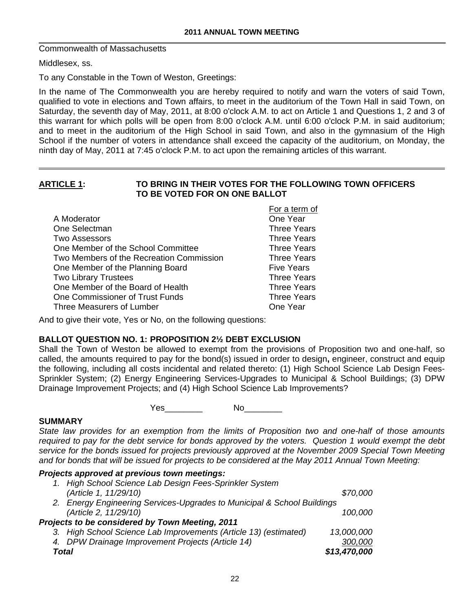Commonwealth of Massachusetts

Middlesex, ss.

To any Constable in the Town of Weston, Greetings:

In the name of The Commonwealth you are hereby required to notify and warn the voters of said Town, qualified to vote in elections and Town affairs, to meet in the auditorium of the Town Hall in said Town, on Saturday, the seventh day of May, 2011, at 8:00 o'clock A.M. to act on Article 1 and Questions 1, 2 and 3 of this warrant for which polls will be open from 8:00 o'clock A.M. until 6:00 o'clock P.M. in said auditorium; and to meet in the auditorium of the High School in said Town, and also in the gymnasium of the High School if the number of voters in attendance shall exceed the capacity of the auditorium, on Monday, the ninth day of May, 2011 at 7:45 o'clock P.M. to act upon the remaining articles of this warrant.

#### **ARTICLE 1: TO BRING IN THEIR VOTES FOR THE FOLLOWING TOWN OFFICERS TO BE VOTED FOR ON ONE BALLOT**

|                                          | For a term of      |
|------------------------------------------|--------------------|
| A Moderator                              | One Year           |
| One Selectman                            | <b>Three Years</b> |
| <b>Two Assessors</b>                     | <b>Three Years</b> |
| One Member of the School Committee       | <b>Three Years</b> |
| Two Members of the Recreation Commission | <b>Three Years</b> |
| One Member of the Planning Board         | <b>Five Years</b>  |
| <b>Two Library Trustees</b>              | <b>Three Years</b> |
| One Member of the Board of Health        | <b>Three Years</b> |
| One Commissioner of Trust Funds          | <b>Three Years</b> |
| Three Measurers of Lumber                | One Year           |

And to give their vote, Yes or No, on the following questions:

## **BALLOT QUESTION NO. 1: PROPOSITION 2½ DEBT EXCLUSION**

Shall the Town of Weston be allowed to exempt from the provisions of Proposition two and one-half, so called, the amounts required to pay for the bond(s) issued in order to design**,** engineer, construct and equip the following, including all costs incidental and related thereto: (1) High School Science Lab Design Fees-Sprinkler System; (2) Energy Engineering Services-Upgrades to Municipal & School Buildings; (3) DPW Drainage Improvement Projects; and (4) High School Science Lab Improvements?

Yes\_\_\_\_\_\_\_\_ No\_\_\_\_\_\_\_\_

## **SUMMARY**

*State law provides for an exemption from the limits of Proposition two and one-half of those amounts required to pay for the debt service for bonds approved by the voters. Question 1 would exempt the debt service for the bonds issued for projects previously approved at the November 2009 Special Town Meeting and for bonds that will be issued for projects to be considered at the May 2011 Annual Town Meeting:* 

# *Projects approved at previous town meetings:*

| 1. High School Science Lab Design Fees-Sprinkler System                 |              |
|-------------------------------------------------------------------------|--------------|
| (Article 1, 11/29/10)                                                   | \$70,000     |
| 2. Energy Engineering Services-Upgrades to Municipal & School Buildings |              |
| (Article 2, 11/29/10)                                                   | 100,000      |
| Projects to be considered by Town Meeting, 2011                         |              |
| 3. High School Science Lab Improvements (Article 13) (estimated)        | 13,000,000   |
| 4. DPW Drainage Improvement Projects (Article 14)                       | 300,000      |
| Total                                                                   | \$13,470,000 |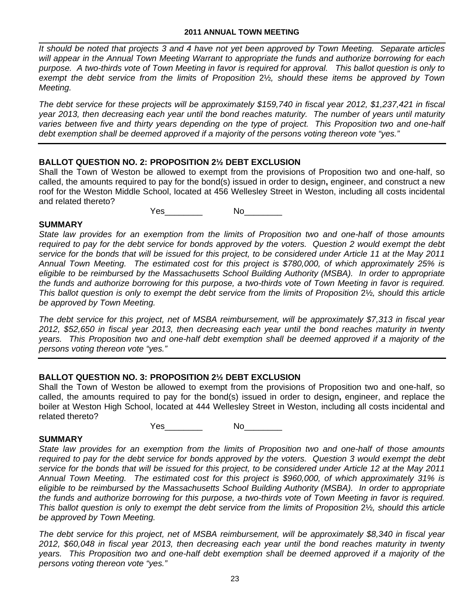*It should be noted that projects 3 and 4 have not yet been approved by Town Meeting. Separate articles will appear in the Annual Town Meeting Warrant to appropriate the funds and authorize borrowing for each purpose. A two-thirds vote of Town Meeting in favor is required for approval. This ballot question is only to exempt the debt service from the limits of Proposition* 2½*, should these items be approved by Town Meeting.* 

*The debt service for these projects will be approximately \$159,740 in fiscal year 2012, \$1,237,421 in fiscal year 2013, then decreasing each year until the bond reaches maturity. The number of years until maturity varies between five and thirty years depending on the type of project. This Proposition two and one-half debt exemption shall be deemed approved if a majority of the persons voting thereon vote "yes."* 

## **BALLOT QUESTION NO. 2: PROPOSITION 2½ DEBT EXCLUSION**

Shall the Town of Weston be allowed to exempt from the provisions of Proposition two and one-half, so called, the amounts required to pay for the bond(s) issued in order to design**,** engineer, and construct a new roof for the Weston Middle School, located at 456 Wellesley Street in Weston, including all costs incidental and related thereto?

Yes\_\_\_\_\_\_\_\_ No\_\_\_\_\_\_\_\_

## **SUMMARY**

*State law provides for an exemption from the limits of Proposition two and one-half of those amounts required to pay for the debt service for bonds approved by the voters. Question 2 would exempt the debt service for the bonds that will be issued for this project, to be considered under Article 11 at the May 2011 Annual Town Meeting. The estimated cost for this project is \$780,000, of which approximately 25% is eligible to be reimbursed by the Massachusetts School Building Authority (MSBA). In order to appropriate the funds and authorize borrowing for this purpose, a two-thirds vote of Town Meeting in favor is required. This ballot question is only to exempt the debt service from the limits of Proposition* 2½*, should this article be approved by Town Meeting.* 

*The debt service for this project, net of MSBA reimbursement, will be approximately \$7,313 in fiscal year 2012, \$52,650 in fiscal year 2013, then decreasing each year until the bond reaches maturity in twenty years. This Proposition two and one-half debt exemption shall be deemed approved if a majority of the persons voting thereon vote "yes."* 

## **BALLOT QUESTION NO. 3: PROPOSITION 2½ DEBT EXCLUSION**

Shall the Town of Weston be allowed to exempt from the provisions of Proposition two and one-half, so called, the amounts required to pay for the bond(s) issued in order to design**,** engineer, and replace the boiler at Weston High School, located at 444 Wellesley Street in Weston, including all costs incidental and related thereto?

Yes\_\_\_\_\_\_\_\_ No\_\_\_\_\_\_\_\_

## **SUMMARY**

*State law provides for an exemption from the limits of Proposition two and one-half of those amounts required to pay for the debt service for bonds approved by the voters. Question 3 would exempt the debt service for the bonds that will be issued for this project, to be considered under Article 12 at the May 2011 Annual Town Meeting. The estimated cost for this project is \$960,000, of which approximately 31% is eligible to be reimbursed by the Massachusetts School Building Authority (MSBA). In order to appropriate the funds and authorize borrowing for this purpose, a two-thirds vote of Town Meeting in favor is required. This ballot question is only to exempt the debt service from the limits of Proposition* 2½*, should this article be approved by Town Meeting.* 

*The debt service for this project, net of MSBA reimbursement, will be approximately \$8,340 in fiscal year 2012, \$60,048 in fiscal year 2013, then decreasing each year until the bond reaches maturity in twenty years. This Proposition two and one-half debt exemption shall be deemed approved if a majority of the persons voting thereon vote "yes."*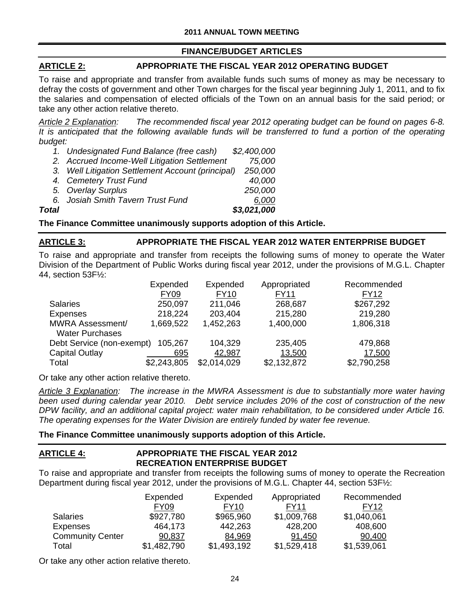# **FINANCE/BUDGET ARTICLES**

# **ARTICLE 2: APPROPRIATE THE FISCAL YEAR 2012 OPERATING BUDGET**

To raise and appropriate and transfer from available funds such sums of money as may be necessary to defray the costs of government and other Town charges for the fiscal year beginning July 1, 2011, and to fix the salaries and compensation of elected officials of the Town on an annual basis for the said period; or take any other action relative thereto.

*Article 2 Explanation: The recommended fiscal year 2012 operating budget can be found on pages 6-8. It is anticipated that the following available funds will be transferred to fund a portion of the operating budget:* 

- *1. Undesignated Fund Balance (free cash) \$2,400,000*
- *2. Accrued Income-Well Litigation Settlement 75,000*
- *3. Well Litigation Settlement Account (principal) 250,000 4. Cemetery Trust Fund 40,000 5. Overlay Surplus 250,000*
- *6. Josiah Smith Tavern Trust Fund 6,000*

*Total \$3,021,000*

**The Finance Committee unanimously supports adoption of this Article.** 

# **ARTICLE 3: APPROPRIATE THE FISCAL YEAR 2012 WATER ENTERPRISE BUDGET**

To raise and appropriate and transfer from receipts the following sums of money to operate the Water Division of the Department of Public Works during fiscal year 2012, under the provisions of M.G.L. Chapter 44, section 53F½:

|                           | Expended<br><b>FY09</b> | Expended<br><b>FY10</b> | Appropriated<br><b>FY11</b> | Recommended<br><b>FY12</b> |
|---------------------------|-------------------------|-------------------------|-----------------------------|----------------------------|
| <b>Salaries</b>           | 250,097                 | 211,046                 | 268,687                     | \$267,292                  |
| <b>Expenses</b>           | 218,224                 | 203,404                 | 215,280                     | 219,280                    |
| <b>MWRA Assessment/</b>   | 1,669,522               | 1,452,263               | 1,400,000                   | 1,806,318                  |
| <b>Water Purchases</b>    |                         |                         |                             |                            |
| Debt Service (non-exempt) | 105,267                 | 104,329                 | 235,405                     | 479,868                    |
| Capital Outlay            | 695                     | 42,987                  | 13,500                      | 17,500                     |
| Total                     | \$2,243,805             | \$2,014,029             | \$2,132,872                 | \$2,790,258                |

Or take any other action relative thereto.

*Article 3 Explanation: The increase in the MWRA Assessment is due to substantially more water having been used during calendar year 2010. Debt service includes 20% of the cost of construction of the new DPW facility, and an additional capital project: water main rehabilitation, to be considered under Article 16. The operating expenses for the Water Division are entirely funded by water fee revenue.* 

## **The Finance Committee unanimously supports adoption of this Article.**

## **ARTICLE 4: APPROPRIATE THE FISCAL YEAR 2012 RECREATION ENTERPRISE BUDGET**

To raise and appropriate and transfer from receipts the following sums of money to operate the Recreation Department during fiscal year 2012, under the provisions of M.G.L. Chapter 44, section 53F½:

|                         | Expended    | Expended    | Appropriated | Recommended |
|-------------------------|-------------|-------------|--------------|-------------|
|                         | <b>FY09</b> | <b>FY10</b> | FY11         | FY12        |
| <b>Salaries</b>         | \$927,780   | \$965,960   | \$1,009,768  | \$1,040,061 |
| <b>Expenses</b>         | 464,173     | 442,263     | 428,200      | 408,600     |
| <b>Community Center</b> | 90,837      | 84,969      | 91,450       | 90,400      |
| Total                   | \$1,482,790 | \$1,493,192 | \$1,529,418  | \$1,539,061 |

Or take any other action relative thereto.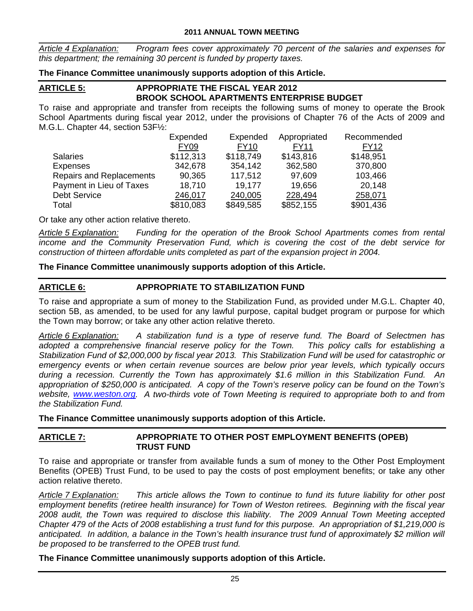*Article 4 Explanation: Program fees cover approximately 70 percent of the salaries and expenses for this department; the remaining 30 percent is funded by property taxes.* 

## **The Finance Committee unanimously supports adoption of this Article.**

# **ARTICLE 5: APPROPRIATE THE FISCAL YEAR 2012 BROOK SCHOOL APARTMENTS ENTERPRISE BUDGET**

To raise and appropriate and transfer from receipts the following sums of money to operate the Brook School Apartments during fiscal year 2012, under the provisions of Chapter 76 of the Acts of 2009 and M.G.L. Chapter 44, section 53F½:

|                                 | Expended         | Expended    | Appropriated | Recommended |
|---------------------------------|------------------|-------------|--------------|-------------|
|                                 | FY <sub>09</sub> | <b>FY10</b> | <b>FY11</b>  | <b>FY12</b> |
| <b>Salaries</b>                 | \$112,313        | \$118,749   | \$143,816    | \$148,951   |
| <b>Expenses</b>                 | 342,678          | 354,142     | 362,580      | 370,800     |
| <b>Repairs and Replacements</b> | 90,365           | 117,512     | 97,609       | 103,466     |
| Payment in Lieu of Taxes        | 18,710           | 19.177      | 19,656       | 20,148      |
| <b>Debt Service</b>             | 246,017          | 240,005     | 228,494      | 258,071     |
| Total                           | \$810,083        | \$849,585   | \$852,155    | \$901,436   |

Or take any other action relative thereto.

*Article 5 Explanation: Funding for the operation of the Brook School Apartments comes from rental income and the Community Preservation Fund, which is covering the cost of the debt service for construction of thirteen affordable units completed as part of the expansion project in 2004.* 

## **The Finance Committee unanimously supports adoption of this Article.**

## **ARTICLE 6: APPROPRIATE TO STABILIZATION FUND**

To raise and appropriate a sum of money to the Stabilization Fund, as provided under M.G.L. Chapter 40, section 5B, as amended, to be used for any lawful purpose, capital budget program or purpose for which the Town may borrow; or take any other action relative thereto.

*Article 6 Explanation: A stabilization fund is a type of reserve fund. The Board of Selectmen has adopted a comprehensive financial reserve policy for the Town. This policy calls for establishing a Stabilization Fund of \$2,000,000 by fiscal year 2013. This Stabilization Fund will be used for catastrophic or emergency events or when certain revenue sources are below prior year levels, which typically occurs during a recession. Currently the Town has approximately \$1.6 million in this Stabilization Fund. An appropriation of \$250,000 is anticipated. A copy of the Town's reserve policy can be found on the Town's website, www.weston.org. A two-thirds vote of Town Meeting is required to appropriate both to and from the Stabilization Fund.* 

**The Finance Committee unanimously supports adoption of this Article.** 

## **ARTICLE 7: APPROPRIATE TO OTHER POST EMPLOYMENT BENEFITS (OPEB) TRUST FUND**

To raise and appropriate or transfer from available funds a sum of money to the Other Post Employment Benefits (OPEB) Trust Fund, to be used to pay the costs of post employment benefits; or take any other action relative thereto.

*Article 7 Explanation: This article allows the Town to continue to fund its future liability for other post employment benefits (retiree health insurance) for Town of Weston retirees. Beginning with the fiscal year 2008 audit, the Town was required to disclose this liability. The 2009 Annual Town Meeting accepted Chapter 479 of the Acts of 2008 establishing a trust fund for this purpose. An appropriation of \$1,219,000 is*  anticipated. In addition, a balance in the Town's health insurance trust fund of approximately \$2 million will *be proposed to be transferred to the OPEB trust fund.* 

## **The Finance Committee unanimously supports adoption of this Article.**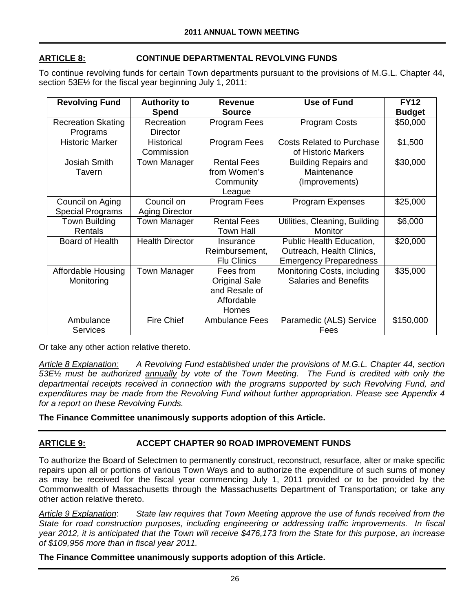# **ARTICLE 8: CONTINUE DEPARTMENTAL REVOLVING FUNDS**

To continue revolving funds for certain Town departments pursuant to the provisions of M.G.L. Chapter 44, section 53E½ for the fiscal year beginning July 1, 2011:

| <b>Revolving Fund</b>     | <b>Authority to</b>    | Revenue               | <b>Use of Fund</b>               | <b>FY12</b>   |
|---------------------------|------------------------|-----------------------|----------------------------------|---------------|
|                           | <b>Spend</b>           | <b>Source</b>         |                                  | <b>Budget</b> |
| <b>Recreation Skating</b> | Recreation             | Program Fees          | <b>Program Costs</b>             | \$50,000      |
| Programs                  | Director               |                       |                                  |               |
| <b>Historic Marker</b>    | <b>Historical</b>      | Program Fees          | <b>Costs Related to Purchase</b> | \$1,500       |
|                           | Commission             |                       | of Historic Markers              |               |
| Josiah Smith              | <b>Town Manager</b>    | <b>Rental Fees</b>    | <b>Building Repairs and</b>      | \$30,000      |
| Tavern                    |                        | from Women's          | Maintenance                      |               |
|                           |                        | Community             | (Improvements)                   |               |
|                           |                        | League                |                                  |               |
| Council on Aging          | Council on             | Program Fees          | <b>Program Expenses</b>          | \$25,000      |
| <b>Special Programs</b>   | <b>Aging Director</b>  |                       |                                  |               |
| Town Building             | Town Manager           | <b>Rental Fees</b>    | Utilities, Cleaning, Building    | \$6,000       |
| Rentals                   |                        | Town Hall             | Monitor                          |               |
| Board of Health           | <b>Health Director</b> | Insurance             | Public Health Education,         | \$20,000      |
|                           |                        | Reimbursement,        | Outreach, Health Clinics,        |               |
|                           |                        | <b>Flu Clinics</b>    | <b>Emergency Preparedness</b>    |               |
| <b>Affordable Housing</b> | <b>Town Manager</b>    | Fees from             | Monitoring Costs, including      | \$35,000      |
| Monitoring                |                        | <b>Original Sale</b>  | <b>Salaries and Benefits</b>     |               |
|                           |                        | and Resale of         |                                  |               |
|                           |                        | Affordable            |                                  |               |
|                           |                        | Homes                 |                                  |               |
| Ambulance                 | <b>Fire Chief</b>      | <b>Ambulance Fees</b> | Paramedic (ALS) Service          | \$150,000     |
| <b>Services</b>           |                        |                       | Fees                             |               |

Or take any other action relative thereto.

*Article 8 Explanation: A Revolving Fund established under the provisions of M.G.L. Chapter 44, section 53E*½ *must be authorized annually by vote of the Town Meeting. The Fund is credited with only the departmental receipts received in connection with the programs supported by such Revolving Fund, and expenditures may be made from the Revolving Fund without further appropriation. Please see Appendix 4 for a report on these Revolving Funds.* 

**The Finance Committee unanimously supports adoption of this Article.** 

# **ARTICLE 9: ACCEPT CHAPTER 90 ROAD IMPROVEMENT FUNDS**

To authorize the Board of Selectmen to permanently construct, reconstruct, resurface, alter or make specific repairs upon all or portions of various Town Ways and to authorize the expenditure of such sums of money as may be received for the fiscal year commencing July 1, 2011 provided or to be provided by the Commonwealth of Massachusetts through the Massachusetts Department of Transportation; or take any other action relative thereto.

*Article 9 Explanation*: *State law requires that Town Meeting approve the use of funds received from the State for road construction purposes, including engineering or addressing traffic improvements. In fiscal year 2012, it is anticipated that the Town will receive \$476,173 from the State for this purpose, an increase of \$109,956 more than in fiscal year 2011.* 

## **The Finance Committee unanimously supports adoption of this Article.**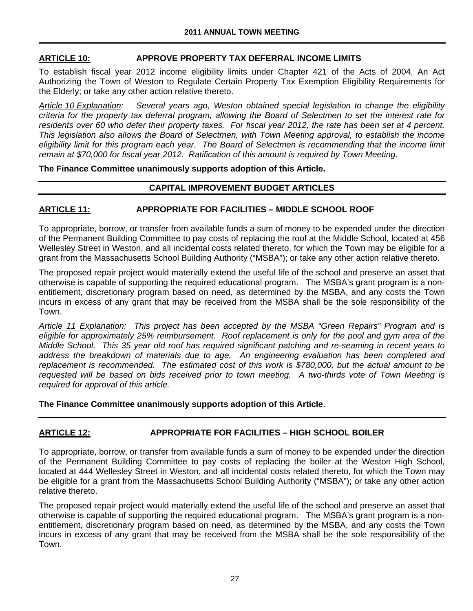## **ARTICLE 10: APPROVE PROPERTY TAX DEFERRAL INCOME LIMITS**

To establish fiscal year 2012 income eligibility limits under Chapter 421 of the Acts of 2004, An Act Authorizing the Town of Weston to Regulate Certain Property Tax Exemption Eligibility Requirements for the Elderly; or take any other action relative thereto.

*Article 10 Explanation: Several years ago, Weston obtained special legislation to change the eligibility criteria for the property tax deferral program, allowing the Board of Selectmen to set the interest rate for residents over 60 who defer their property taxes. For fiscal year 2012, the rate has been set at 4 percent. This legislation also allows the Board of Selectmen, with Town Meeting approval, to establish the income eligibility limit for this program each year. The Board of Selectmen is recommending that the income limit remain at \$70,000 for fiscal year 2012. Ratification of this amount is required by Town Meeting.* 

**The Finance Committee unanimously supports adoption of this Article.** 

### **CAPITAL IMPROVEMENT BUDGET ARTICLES**

## **ARTICLE 11: APPROPRIATE FOR FACILITIES – MIDDLE SCHOOL ROOF**

To appropriate, borrow, or transfer from available funds a sum of money to be expended under the direction of the Permanent Building Committee to pay costs of replacing the roof at the Middle School, located at 456 Wellesley Street in Weston, and all incidental costs related thereto, for which the Town may be eligible for a grant from the Massachusetts School Building Authority ("MSBA"); or take any other action relative thereto.

The proposed repair project would materially extend the useful life of the school and preserve an asset that otherwise is capable of supporting the required educational program. The MSBA's grant program is a nonentitlement, discretionary program based on need, as determined by the MSBA, and any costs the Town incurs in excess of any grant that may be received from the MSBA shall be the sole responsibility of the Town.

*Article 11 Explanation: This project has been accepted by the MSBA "Green Repairs" Program and is eligible for approximately 25% reimbursement. Roof replacement is only for the pool and gym area of the Middle School. This 35 year old roof has required significant patching and re-seaming in recent years to address the breakdown of materials due to age. An engineering evaluation has been completed and replacement is recommended. The estimated cost of this work is \$780,000, but the actual amount to be requested will be based on bids received prior to town meeting. A two-thirds vote of Town Meeting is required for approval of this article.* 

**The Finance Committee unanimously supports adoption of this Article.** 

# **ARTICLE 12: APPROPRIATE FOR FACILITIES – HIGH SCHOOL BOILER**

To appropriate, borrow, or transfer from available funds a sum of money to be expended under the direction of the Permanent Building Committee to pay costs of replacing the boiler at the Weston High School, located at 444 Wellesley Street in Weston, and all incidental costs related thereto, for which the Town may be eligible for a grant from the Massachusetts School Building Authority ("MSBA"); or take any other action relative thereto.

The proposed repair project would materially extend the useful life of the school and preserve an asset that otherwise is capable of supporting the required educational program. The MSBA's grant program is a nonentitlement, discretionary program based on need, as determined by the MSBA, and any costs the Town incurs in excess of any grant that may be received from the MSBA shall be the sole responsibility of the Town.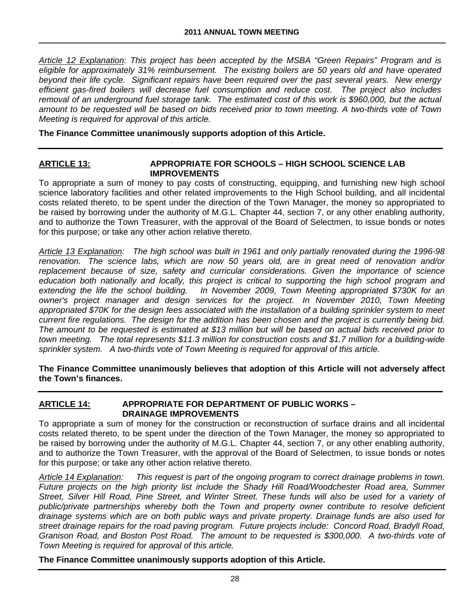*Article 12 Explanation: This project has been accepted by the MSBA "Green Repairs" Program and is eligible for approximately 31% reimbursement. The existing boilers are 50 years old and have operated beyond their life cycle. Significant repairs have been required over the past several years. New energy efficient gas-fired boilers will decrease fuel consumption and reduce cost. The project also includes removal of an underground fuel storage tank. The estimated cost of this work is \$960,000, but the actual amount to be requested will be based on bids received prior to town meeting. A two-thirds vote of Town Meeting is required for approval of this article.* 

**The Finance Committee unanimously supports adoption of this Article.** 

#### **ARTICLE 13: APPROPRIATE FOR SCHOOLS – HIGH SCHOOL SCIENCE LAB IMPROVEMENTS**

To appropriate a sum of money to pay costs of constructing, equipping, and furnishing new high school science laboratory facilities and other related improvements to the High School building, and all incidental costs related thereto, to be spent under the direction of the Town Manager, the money so appropriated to be raised by borrowing under the authority of M.G.L. Chapter 44, section 7, or any other enabling authority, and to authorize the Town Treasurer, with the approval of the Board of Selectmen, to issue bonds or notes for this purpose; or take any other action relative thereto.

*Article 13 Explanation: The high school was built in 1961 and only partially renovated during the 1996-98 renovation. The science labs, which are now 50 years old, are in great need of renovation and/or*  replacement because of size, safety and curricular considerations. Given the importance of science *education both nationally and locally, this project is critical to supporting the high school program and*  extending the life the school building. In November 2009, Town Meeting appropriated \$730K for an *owner's project manager and design services for the project. In November 2010, Town Meeting appropriated \$70K for the design fees associated with the installation of a building sprinkler system to meet current fire regulations. The design for the addition has been chosen and the project is currently being bid. The amount to be requested is estimated at \$13 million but will be based on actual bids received prior to town meeting. The total represents \$11.3 million for construction costs and \$1.7 million for a building-wide sprinkler system. A two-thirds vote of Town Meeting is required for approval of this article.* 

**The Finance Committee unanimously believes that adoption of this Article will not adversely affect the Town's finances.** 

## **ARTICLE 14: APPROPRIATE FOR DEPARTMENT OF PUBLIC WORKS – DRAINAGE IMPROVEMENTS**

To appropriate a sum of money for the construction or reconstruction of surface drains and all incidental costs related thereto, to be spent under the direction of the Town Manager, the money so appropriated to be raised by borrowing under the authority of M.G.L. Chapter 44, section 7, or any other enabling authority, and to authorize the Town Treasurer, with the approval of the Board of Selectmen, to issue bonds or notes for this purpose; or take any other action relative thereto.

*Article 14 Explanation: This request is part of the ongoing program to correct drainage problems in town. Future projects on the high priority list include the Shady Hill Road/Woodchester Road area, Summer Street, Silver Hill Road, Pine Street, and Winter Street. These funds will also be used for a variety of public/private partnerships whereby both the Town and property owner contribute to resolve deficient drainage systems which are on both public ways and private property. Drainage funds are also used for street drainage repairs for the road paving program. Future projects include: Concord Road, Bradyll Road, Granison Road, and Boston Post Road. The amount to be requested is \$300,000. A two-thirds vote of Town Meeting is required for approval of this article.* 

**The Finance Committee unanimously supports adoption of this Article.**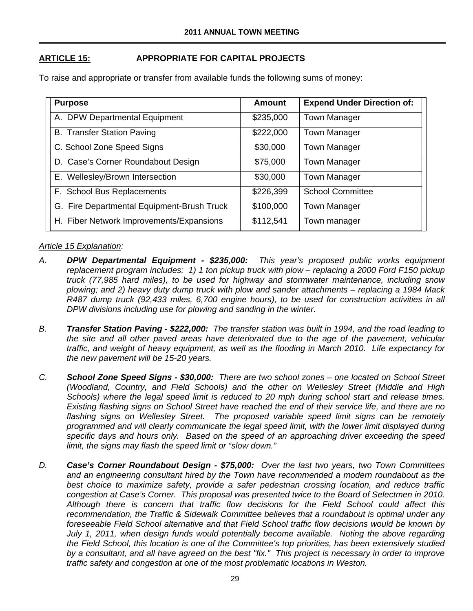# **ARTICLE 15: APPROPRIATE FOR CAPITAL PROJECTS**

To raise and appropriate or transfer from available funds the following sums of money:

| <b>Purpose</b>                             | Amount    | <b>Expend Under Direction of:</b> |
|--------------------------------------------|-----------|-----------------------------------|
| A. DPW Departmental Equipment              | \$235,000 | <b>Town Manager</b>               |
| <b>B. Transfer Station Paving</b>          | \$222,000 | <b>Town Manager</b>               |
| C. School Zone Speed Signs                 | \$30,000  | <b>Town Manager</b>               |
| D. Case's Corner Roundabout Design         | \$75,000  | <b>Town Manager</b>               |
| E. Wellesley/Brown Intersection            | \$30,000  | <b>Town Manager</b>               |
| F. School Bus Replacements                 | \$226,399 | <b>School Committee</b>           |
| G. Fire Departmental Equipment-Brush Truck | \$100,000 | <b>Town Manager</b>               |
| H. Fiber Network Improvements/Expansions   | \$112,541 | Town manager                      |

### *Article 15 Explanation:*

- *A. DPW Departmental Equipment \$235,000: This year's proposed public works equipment replacement program includes: 1) 1 ton pickup truck with plow – replacing a 2000 Ford F150 pickup truck (77,985 hard miles), to be used for highway and stormwater maintenance, including snow plowing; and 2) heavy duty dump truck with plow and sander attachments – replacing a 1984 Mack R487 dump truck (92,433 miles, 6,700 engine hours), to be used for construction activities in all DPW divisions including use for plowing and sanding in the winter.*
- *B. Transfer Station Paving \$222,000: The transfer station was built in 1994, and the road leading to the site and all other paved areas have deteriorated due to the age of the pavement, vehicular traffic, and weight of heavy equipment, as well as the flooding in March 2010. Life expectancy for the new pavement will be 15-20 years.*
- *C. School Zone Speed Signs \$30,000: There are two school zones one located on School Street (Woodland, Country, and Field Schools) and the other on Wellesley Street (Middle and High Schools) where the legal speed limit is reduced to 20 mph during school start and release times. Existing flashing signs on School Street have reached the end of their service life, and there are no flashing signs on Wellesley Street. The proposed variable speed limit signs can be remotely programmed and will clearly communicate the legal speed limit, with the lower limit displayed during specific days and hours only. Based on the speed of an approaching driver exceeding the speed limit, the signs may flash the speed limit or "slow down."*
- *D. Case's Corner Roundabout Design \$75,000: Over the last two years, two Town Committees and an engineering consultant hired by the Town have recommended a modern roundabout as the best choice to maximize safety, provide a safer pedestrian crossing location, and reduce traffic congestion at Case's Corner. This proposal was presented twice to the Board of Selectmen in 2010. Although there is concern that traffic flow decisions for the Field School could affect this recommendation, the Traffic & Sidewalk Committee believes that a roundabout is optimal under any foreseeable Field School alternative and that Field School traffic flow decisions would be known by July 1, 2011, when design funds would potentially become available. Noting the above regarding the Field School, this location is one of the Committee's top priorities, has been extensively studied by a consultant, and all have agreed on the best "fix." This project is necessary in order to improve traffic safety and congestion at one of the most problematic locations in Weston.*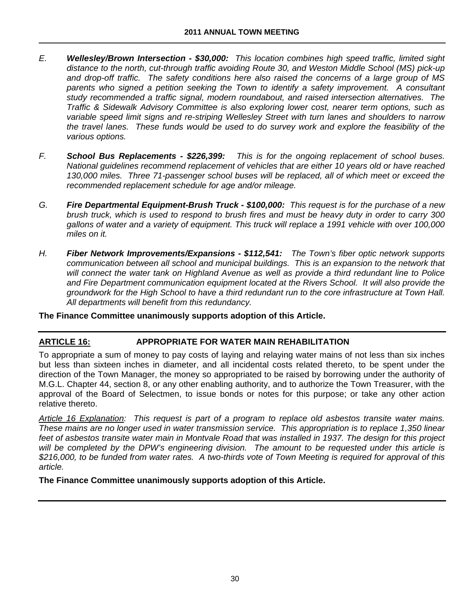- *E. Wellesley/Brown Intersection \$30,000: This location combines high speed traffic, limited sight distance to the north, cut-through traffic avoiding Route 30, and Weston Middle School (MS) pick-up and drop-off traffic. The safety conditions here also raised the concerns of a large group of MS parents who signed a petition seeking the Town to identify a safety improvement. A consultant study recommended a traffic signal, modern roundabout, and raised intersection alternatives. The Traffic & Sidewalk Advisory Committee is also exploring lower cost, nearer term options, such as variable speed limit signs and re-striping Wellesley Street with turn lanes and shoulders to narrow the travel lanes. These funds would be used to do survey work and explore the feasibility of the various options.*
- *F. School Bus Replacements \$226,399: This is for the ongoing replacement of school buses. National guidelines recommend replacement of vehicles that are either 10 years old or have reached 130,000 miles. Three 71-passenger school buses will be replaced, all of which meet or exceed the recommended replacement schedule for age and/or mileage.*
- *G. Fire Departmental Equipment-Brush Truck \$100,000: This request is for the purchase of a new brush truck, which is used to respond to brush fires and must be heavy duty in order to carry 300 gallons of water and a variety of equipment. This truck will replace a 1991 vehicle with over 100,000 miles on it.*
- *H. Fiber Network Improvements/Expansions \$112,541: The Town's fiber optic network supports communication between all school and municipal buildings. This is an expansion to the network that will connect the water tank on Highland Avenue as well as provide a third redundant line to Police and Fire Department communication equipment located at the Rivers School. It will also provide the groundwork for the High School to have a third redundant run to the core infrastructure at Town Hall. All departments will benefit from this redundancy.*

**The Finance Committee unanimously supports adoption of this Article.** 

# **ARTICLE 16: APPROPRIATE FOR WATER MAIN REHABILITATION**

To appropriate a sum of money to pay costs of laying and relaying water mains of not less than six inches but less than sixteen inches in diameter, and all incidental costs related thereto, to be spent under the direction of the Town Manager, the money so appropriated to be raised by borrowing under the authority of M.G.L. Chapter 44, section 8, or any other enabling authority, and to authorize the Town Treasurer, with the approval of the Board of Selectmen, to issue bonds or notes for this purpose; or take any other action relative thereto.

*Article 16 Explanation: This request is part of a program to replace old asbestos transite water mains. These mains are no longer used in water transmission service. This appropriation is to replace 1,350 linear feet of asbestos transite water main in Montvale Road that was installed in 1937. The design for this project will be completed by the DPW's engineering division. The amount to be requested under this article is \$216,000, to be funded from water rates. A two-thirds vote of Town Meeting is required for approval of this article.* 

**The Finance Committee unanimously supports adoption of this Article.**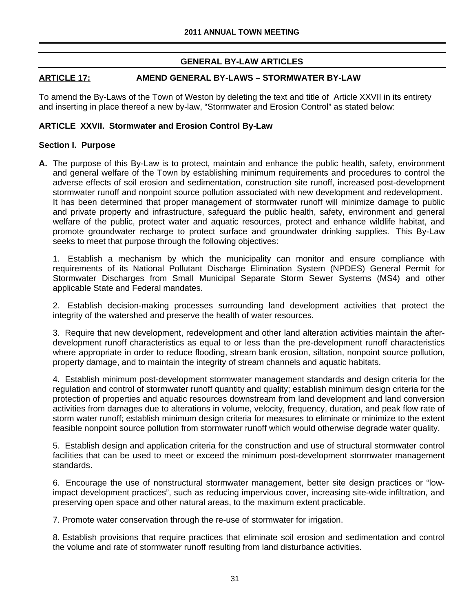# **GENERAL BY-LAW ARTICLES**

## **ARTICLE 17: AMEND GENERAL BY-LAWS – STORMWATER BY-LAW**

To amend the By-Laws of the Town of Weston by deleting the text and title of Article XXVII in its entirety and inserting in place thereof a new by-law, "Stormwater and Erosion Control" as stated below:

## **ARTICLE XXVII. Stormwater and Erosion Control By-Law**

### **Section I. Purpose**

**A.** The purpose of this By-Law is to protect, maintain and enhance the public health, safety, environment and general welfare of the Town by establishing minimum requirements and procedures to control the adverse effects of soil erosion and sedimentation, construction site runoff, increased post-development stormwater runoff and nonpoint source pollution associated with new development and redevelopment. It has been determined that proper management of stormwater runoff will minimize damage to public and private property and infrastructure, safeguard the public health, safety, environment and general welfare of the public, protect water and aquatic resources, protect and enhance wildlife habitat, and promote groundwater recharge to protect surface and groundwater drinking supplies. This By-Law seeks to meet that purpose through the following objectives:

1. Establish a mechanism by which the municipality can monitor and ensure compliance with requirements of its National Pollutant Discharge Elimination System (NPDES) General Permit for Stormwater Discharges from Small Municipal Separate Storm Sewer Systems (MS4) and other applicable State and Federal mandates.

2. Establish decision-making processes surrounding land development activities that protect the integrity of the watershed and preserve the health of water resources.

3. Require that new development, redevelopment and other land alteration activities maintain the afterdevelopment runoff characteristics as equal to or less than the pre-development runoff characteristics where appropriate in order to reduce flooding, stream bank erosion, siltation, nonpoint source pollution, property damage, and to maintain the integrity of stream channels and aquatic habitats.

4. Establish minimum post-development stormwater management standards and design criteria for the regulation and control of stormwater runoff quantity and quality; establish minimum design criteria for the protection of properties and aquatic resources downstream from land development and land conversion activities from damages due to alterations in volume, velocity, frequency, duration, and peak flow rate of storm water runoff; establish minimum design criteria for measures to eliminate or minimize to the extent feasible nonpoint source pollution from stormwater runoff which would otherwise degrade water quality.

5. Establish design and application criteria for the construction and use of structural stormwater control facilities that can be used to meet or exceed the minimum post-development stormwater management standards.

6. Encourage the use of nonstructural stormwater management, better site design practices or "lowimpact development practices", such as reducing impervious cover, increasing site-wide infiltration, and preserving open space and other natural areas, to the maximum extent practicable.

7. Promote water conservation through the re-use of stormwater for irrigation.

8. Establish provisions that require practices that eliminate soil erosion and sedimentation and control the volume and rate of stormwater runoff resulting from land disturbance activities.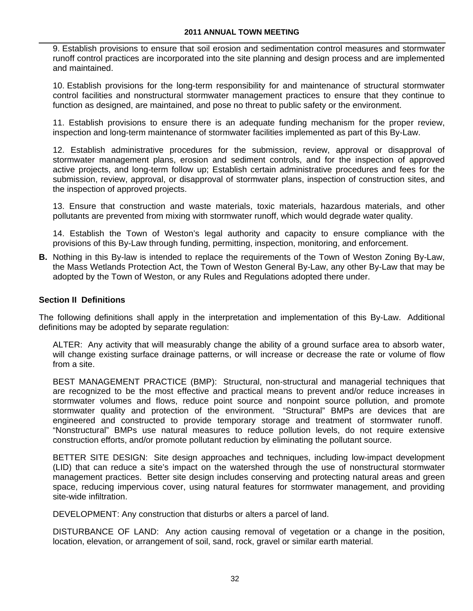9. Establish provisions to ensure that soil erosion and sedimentation control measures and stormwater runoff control practices are incorporated into the site planning and design process and are implemented and maintained.

10. Establish provisions for the long-term responsibility for and maintenance of structural stormwater control facilities and nonstructural stormwater management practices to ensure that they continue to function as designed, are maintained, and pose no threat to public safety or the environment.

11. Establish provisions to ensure there is an adequate funding mechanism for the proper review, inspection and long-term maintenance of stormwater facilities implemented as part of this By-Law.

12. Establish administrative procedures for the submission, review, approval or disapproval of stormwater management plans, erosion and sediment controls, and for the inspection of approved active projects, and long-term follow up; Establish certain administrative procedures and fees for the submission, review, approval, or disapproval of stormwater plans, inspection of construction sites, and the inspection of approved projects.

13. Ensure that construction and waste materials, toxic materials, hazardous materials, and other pollutants are prevented from mixing with stormwater runoff, which would degrade water quality.

14. Establish the Town of Weston's legal authority and capacity to ensure compliance with the provisions of this By-Law through funding, permitting, inspection, monitoring, and enforcement.

**B.** Nothing in this By-law is intended to replace the requirements of the Town of Weston Zoning By-Law, the Mass Wetlands Protection Act, the Town of Weston General By-Law, any other By-Law that may be adopted by the Town of Weston, or any Rules and Regulations adopted there under.

## **Section II Definitions**

The following definitions shall apply in the interpretation and implementation of this By-Law. Additional definitions may be adopted by separate regulation:

ALTER: Any activity that will measurably change the ability of a ground surface area to absorb water, will change existing surface drainage patterns, or will increase or decrease the rate or volume of flow from a site.

BEST MANAGEMENT PRACTICE (BMP): Structural, non-structural and managerial techniques that are recognized to be the most effective and practical means to prevent and/or reduce increases in stormwater volumes and flows, reduce point source and nonpoint source pollution, and promote stormwater quality and protection of the environment. "Structural" BMPs are devices that are engineered and constructed to provide temporary storage and treatment of stormwater runoff. "Nonstructural" BMPs use natural measures to reduce pollution levels, do not require extensive construction efforts, and/or promote pollutant reduction by eliminating the pollutant source.

BETTER SITE DESIGN: Site design approaches and techniques, including low-impact development (LID) that can reduce a site's impact on the watershed through the use of nonstructural stormwater management practices. Better site design includes conserving and protecting natural areas and green space, reducing impervious cover, using natural features for stormwater management, and providing site-wide infiltration.

DEVELOPMENT: Any construction that disturbs or alters a parcel of land.

DISTURBANCE OF LAND: Any action causing removal of vegetation or a change in the position, location, elevation, or arrangement of soil, sand, rock, gravel or similar earth material.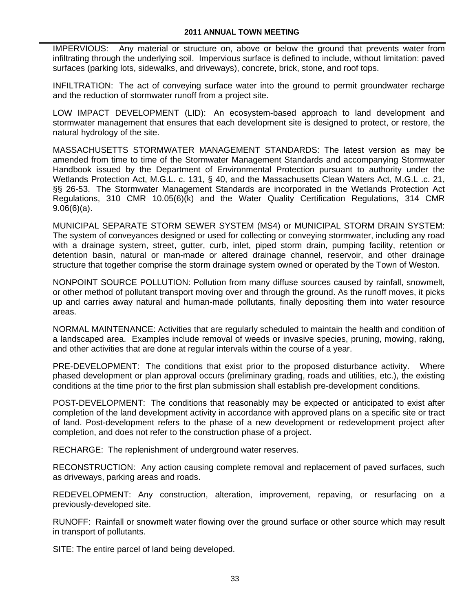IMPERVIOUS: Any material or structure on, above or below the ground that prevents water from infiltrating through the underlying soil. Impervious surface is defined to include, without limitation: paved surfaces (parking lots, sidewalks, and driveways), concrete, brick, stone, and roof tops.

INFILTRATION: The act of conveying surface water into the ground to permit groundwater recharge and the reduction of stormwater runoff from a project site.

LOW IMPACT DEVELOPMENT (LID): An ecosystem-based approach to land development and stormwater management that ensures that each development site is designed to protect, or restore, the natural hydrology of the site.

MASSACHUSETTS STORMWATER MANAGEMENT STANDARDS: The latest version as may be amended from time to time of the Stormwater Management Standards and accompanying Stormwater Handbook issued by the Department of Environmental Protection pursuant to authority under the Wetlands Protection Act, M.G.L. c. 131, § 40, and the Massachusetts Clean Waters Act, M.G.L .c. 21, §§ 26-53. The Stormwater Management Standards are incorporated in the Wetlands Protection Act Regulations, 310 CMR 10.05(6)(k) and the Water Quality Certification Regulations, 314 CMR 9.06(6)(a).

MUNICIPAL SEPARATE STORM SEWER SYSTEM (MS4) or MUNICIPAL STORM DRAIN SYSTEM: The system of conveyances designed or used for collecting or conveying stormwater, including any road with a drainage system, street, gutter, curb, inlet, piped storm drain, pumping facility, retention or detention basin, natural or man-made or altered drainage channel, reservoir, and other drainage structure that together comprise the storm drainage system owned or operated by the Town of Weston.

NONPOINT SOURCE POLLUTION: Pollution from many diffuse sources caused by rainfall, snowmelt, or other method of pollutant transport moving over and through the ground. As the runoff moves, it picks up and carries away natural and human-made pollutants, finally depositing them into water resource areas.

NORMAL MAINTENANCE: Activities that are regularly scheduled to maintain the health and condition of a landscaped area. Examples include removal of weeds or invasive species, pruning, mowing, raking, and other activities that are done at regular intervals within the course of a year.

PRE-DEVELOPMENT: The conditions that exist prior to the proposed disturbance activity. Where phased development or plan approval occurs (preliminary grading, roads and utilities, etc.), the existing conditions at the time prior to the first plan submission shall establish pre-development conditions.

POST-DEVELOPMENT: The conditions that reasonably may be expected or anticipated to exist after completion of the land development activity in accordance with approved plans on a specific site or tract of land. Post-development refers to the phase of a new development or redevelopment project after completion, and does not refer to the construction phase of a project.

RECHARGE: The replenishment of underground water reserves.

RECONSTRUCTION: Any action causing complete removal and replacement of paved surfaces, such as driveways, parking areas and roads.

REDEVELOPMENT: Any construction, alteration, improvement, repaving, or resurfacing on a previously-developed site.

RUNOFF: Rainfall or snowmelt water flowing over the ground surface or other source which may result in transport of pollutants.

SITE: The entire parcel of land being developed.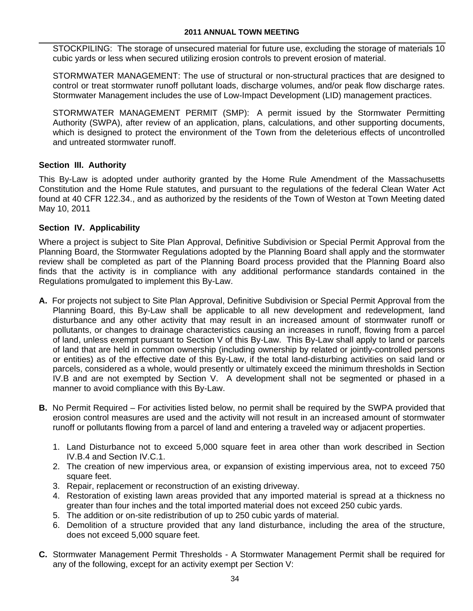STOCKPILING: The storage of unsecured material for future use, excluding the storage of materials 10 cubic yards or less when secured utilizing erosion controls to prevent erosion of material.

STORMWATER MANAGEMENT: The use of structural or non-structural practices that are designed to control or treat stormwater runoff pollutant loads, discharge volumes, and/or peak flow discharge rates. Stormwater Management includes the use of Low-Impact Development (LID) management practices.

STORMWATER MANAGEMENT PERMIT (SMP): A permit issued by the Stormwater Permitting Authority (SWPA), after review of an application, plans, calculations, and other supporting documents, which is designed to protect the environment of the Town from the deleterious effects of uncontrolled and untreated stormwater runoff.

## **Section III. Authority**

This By-Law is adopted under authority granted by the Home Rule Amendment of the Massachusetts Constitution and the Home Rule statutes, and pursuant to the regulations of the federal Clean Water Act found at 40 CFR 122.34., and as authorized by the residents of the Town of Weston at Town Meeting dated May 10, 2011

## **Section IV. Applicability**

Where a project is subject to Site Plan Approval, Definitive Subdivision or Special Permit Approval from the Planning Board, the Stormwater Regulations adopted by the Planning Board shall apply and the stormwater review shall be completed as part of the Planning Board process provided that the Planning Board also finds that the activity is in compliance with any additional performance standards contained in the Regulations promulgated to implement this By-Law.

- **A.** For projects not subject to Site Plan Approval, Definitive Subdivision or Special Permit Approval from the Planning Board, this By-Law shall be applicable to all new development and redevelopment, land disturbance and any other activity that may result in an increased amount of stormwater runoff or pollutants, or changes to drainage characteristics causing an increases in runoff, flowing from a parcel of land, unless exempt pursuant to Section V of this By-Law. This By-Law shall apply to land or parcels of land that are held in common ownership (including ownership by related or jointly-controlled persons or entities) as of the effective date of this By-Law, if the total land-disturbing activities on said land or parcels, considered as a whole, would presently or ultimately exceed the minimum thresholds in Section IV.B and are not exempted by Section V. A development shall not be segmented or phased in a manner to avoid compliance with this By-Law.
- **B.** No Permit Required For activities listed below, no permit shall be required by the SWPA provided that erosion control measures are used and the activity will not result in an increased amount of stormwater runoff or pollutants flowing from a parcel of land and entering a traveled way or adjacent properties.
	- 1. Land Disturbance not to exceed 5,000 square feet in area other than work described in Section IV.B.4 and Section IV.C.1.
	- 2. The creation of new impervious area, or expansion of existing impervious area, not to exceed 750 square feet.
	- 3. Repair, replacement or reconstruction of an existing driveway.
	- 4. Restoration of existing lawn areas provided that any imported material is spread at a thickness no greater than four inches and the total imported material does not exceed 250 cubic yards.
	- 5. The addition or on-site redistribution of up to 250 cubic yards of material.
	- 6. Demolition of a structure provided that any land disturbance, including the area of the structure, does not exceed 5,000 square feet.
- **C.** Stormwater Management Permit Thresholds A Stormwater Management Permit shall be required for any of the following, except for an activity exempt per Section V: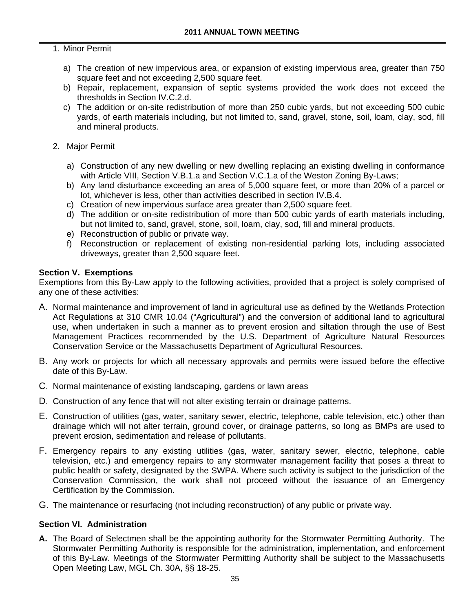## 1. Minor Permit

- a) The creation of new impervious area, or expansion of existing impervious area, greater than 750 square feet and not exceeding 2,500 square feet.
- b) Repair, replacement, expansion of septic systems provided the work does not exceed the thresholds in Section IV.C.2.d.
- c) The addition or on-site redistribution of more than 250 cubic yards, but not exceeding 500 cubic yards, of earth materials including, but not limited to, sand, gravel, stone, soil, loam, clay, sod, fill and mineral products.
- 2. Major Permit
	- a) Construction of any new dwelling or new dwelling replacing an existing dwelling in conformance with Article VIII, Section V.B.1.a and Section V.C.1.a of the Weston Zoning By-Laws;
	- b) Any land disturbance exceeding an area of 5,000 square feet, or more than 20% of a parcel or lot, whichever is less, other than activities described in section IV.B.4.
	- c) Creation of new impervious surface area greater than 2,500 square feet.
	- d) The addition or on-site redistribution of more than 500 cubic yards of earth materials including, but not limited to, sand, gravel, stone, soil, loam, clay, sod, fill and mineral products.
	- e) Reconstruction of public or private way.
	- f) Reconstruction or replacement of existing non-residential parking lots, including associated driveways, greater than 2,500 square feet.

### **Section V. Exemptions**

Exemptions from this By-Law apply to the following activities, provided that a project is solely comprised of any one of these activities:

- A. Normal maintenance and improvement of land in agricultural use as defined by the Wetlands Protection Act Regulations at 310 CMR 10.04 ("Agricultural") and the conversion of additional land to agricultural use, when undertaken in such a manner as to prevent erosion and siltation through the use of Best Management Practices recommended by the U.S. Department of Agriculture Natural Resources Conservation Service or the Massachusetts Department of Agricultural Resources.
- B. Any work or projects for which all necessary approvals and permits were issued before the effective date of this By-Law.
- C. Normal maintenance of existing landscaping, gardens or lawn areas
- D. Construction of any fence that will not alter existing terrain or drainage patterns.
- E. Construction of utilities (gas, water, sanitary sewer, electric, telephone, cable television, etc.) other than drainage which will not alter terrain, ground cover, or drainage patterns, so long as BMPs are used to prevent erosion, sedimentation and release of pollutants.
- F. Emergency repairs to any existing utilities (gas, water, sanitary sewer, electric, telephone, cable television, etc.) and emergency repairs to any stormwater management facility that poses a threat to public health or safety, designated by the SWPA. Where such activity is subject to the jurisdiction of the Conservation Commission, the work shall not proceed without the issuance of an Emergency Certification by the Commission.
- G. The maintenance or resurfacing (not including reconstruction) of any public or private way.

## **Section VI. Administration**

**A.** The Board of Selectmen shall be the appointing authority for the Stormwater Permitting Authority. The Stormwater Permitting Authority is responsible for the administration, implementation, and enforcement of this By-Law. Meetings of the Stormwater Permitting Authority shall be subject to the Massachusetts Open Meeting Law, MGL Ch. 30A, §§ 18-25.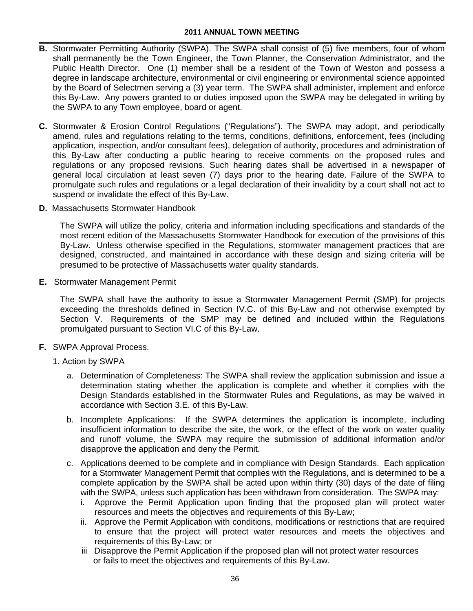- **B.** Stormwater Permitting Authority (SWPA). The SWPA shall consist of (5) five members, four of whom shall permanently be the Town Engineer, the Town Planner, the Conservation Administrator, and the Public Health Director. One (1) member shall be a resident of the Town of Weston and possess a degree in landscape architecture, environmental or civil engineering or environmental science appointed by the Board of Selectmen serving a (3) year term. The SWPA shall administer, implement and enforce this By-Law. Any powers granted to or duties imposed upon the SWPA may be delegated in writing by the SWPA to any Town employee, board or agent.
- **C.** Stormwater & Erosion Control Regulations ("Regulations"). The SWPA may adopt, and periodically amend, rules and regulations relating to the terms, conditions, definitions, enforcement, fees (including application, inspection, and/or consultant fees), delegation of authority, procedures and administration of this By-Law after conducting a public hearing to receive comments on the proposed rules and regulations or any proposed revisions. Such hearing dates shall be advertised in a newspaper of general local circulation at least seven (7) days prior to the hearing date. Failure of the SWPA to promulgate such rules and regulations or a legal declaration of their invalidity by a court shall not act to suspend or invalidate the effect of this By-Law.
- **D.** Massachusetts Stormwater Handbook

The SWPA will utilize the policy, criteria and information including specifications and standards of the most recent edition of the Massachusetts Stormwater Handbook for execution of the provisions of this By-Law. Unless otherwise specified in the Regulations, stormwater management practices that are designed, constructed, and maintained in accordance with these design and sizing criteria will be presumed to be protective of Massachusetts water quality standards.

**E.** Stormwater Management Permit

The SWPA shall have the authority to issue a Stormwater Management Permit (SMP) for projects exceeding the thresholds defined in Section IV.C. of this By-Law and not otherwise exempted by Section V. Requirements of the SMP may be defined and included within the Regulations promulgated pursuant to Section VI.C of this By-Law.

- **F.** SWPA Approval Process.
	- 1. Action by SWPA
		- a. Determination of Completeness: The SWPA shall review the application submission and issue a determination stating whether the application is complete and whether it complies with the Design Standards established in the Stormwater Rules and Regulations, as may be waived in accordance with Section 3.E. of this By-Law.
		- b. Incomplete Applications: If the SWPA determines the application is incomplete, including insufficient information to describe the site, the work, or the effect of the work on water quality and runoff volume, the SWPA may require the submission of additional information and/or disapprove the application and deny the Permit.
		- c. Applications deemed to be complete and in compliance with Design Standards. Each application for a Stormwater Management Permit that complies with the Regulations, and is determined to be a complete application by the SWPA shall be acted upon within thirty (30) days of the date of filing with the SWPA, unless such application has been withdrawn from consideration. The SWPA may:
			- i. Approve the Permit Application upon finding that the proposed plan will protect water resources and meets the objectives and requirements of this By-Law;
			- ii. Approve the Permit Application with conditions, modifications or restrictions that are required to ensure that the project will protect water resources and meets the objectives and requirements of this By-Law; or
			- iii Disapprove the Permit Application if the proposed plan will not protect water resources or fails to meet the objectives and requirements of this By-Law.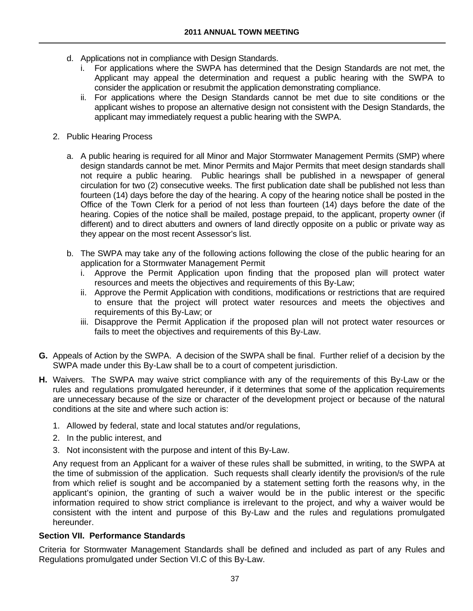- d. Applications not in compliance with Design Standards.
	- i. For applications where the SWPA has determined that the Design Standards are not met, the Applicant may appeal the determination and request a public hearing with the SWPA to consider the application or resubmit the application demonstrating compliance.
	- ii. For applications where the Design Standards cannot be met due to site conditions or the applicant wishes to propose an alternative design not consistent with the Design Standards, the applicant may immediately request a public hearing with the SWPA.
- 2. Public Hearing Process
	- a. A public hearing is required for all Minor and Major Stormwater Management Permits (SMP) where design standards cannot be met. Minor Permits and Major Permits that meet design standards shall not require a public hearing. Public hearings shall be published in a newspaper of general circulation for two (2) consecutive weeks. The first publication date shall be published not less than fourteen (14) days before the day of the hearing. A copy of the hearing notice shall be posted in the Office of the Town Clerk for a period of not less than fourteen (14) days before the date of the hearing. Copies of the notice shall be mailed, postage prepaid, to the applicant, property owner (if different) and to direct abutters and owners of land directly opposite on a public or private way as they appear on the most recent Assessor's list.
	- b. The SWPA may take any of the following actions following the close of the public hearing for an application for a Stormwater Management Permit
		- i. Approve the Permit Application upon finding that the proposed plan will protect water resources and meets the objectives and requirements of this By-Law;
		- ii. Approve the Permit Application with conditions, modifications or restrictions that are required to ensure that the project will protect water resources and meets the objectives and requirements of this By-Law; or
		- iii. Disapprove the Permit Application if the proposed plan will not protect water resources or fails to meet the objectives and requirements of this By-Law.
- **G.** Appeals of Action by the SWPA. A decision of the SWPA shall be final. Further relief of a decision by the SWPA made under this By-Law shall be to a court of competent jurisdiction.
- **H.** Waivers. The SWPA may waive strict compliance with any of the requirement*s* of this By-Law or the rules and regulations promulgated hereunder, if it determines that some of the application requirements are unnecessary because of the size or character of the development project or because of the natural conditions at the site and where such action is:
	- 1. Allowed by federal, state and local statutes and/or regulations,
	- 2. In the public interest, and
	- 3. Not inconsistent with the purpose and intent of this By-Law.

Any request from an Applicant for a waiver of these rules shall be submitted, in writing, to the SWPA at the time of submission of the application. Such requests shall clearly identify the provision/s of the rule from which relief is sought and be accompanied by a statement setting forth the reasons why, in the applicant's opinion, the granting of such a waiver would be in the public interest or the specific information required to show strict compliance is irrelevant to the project, and why a waiver would be consistent with the intent and purpose of this By-Law and the rules and regulations promulgated hereunder.

#### **Section VII. Performance Standards**

Criteria for Stormwater Management Standards shall be defined and included as part of any Rules and Regulations promulgated under Section VI.C of this By-Law.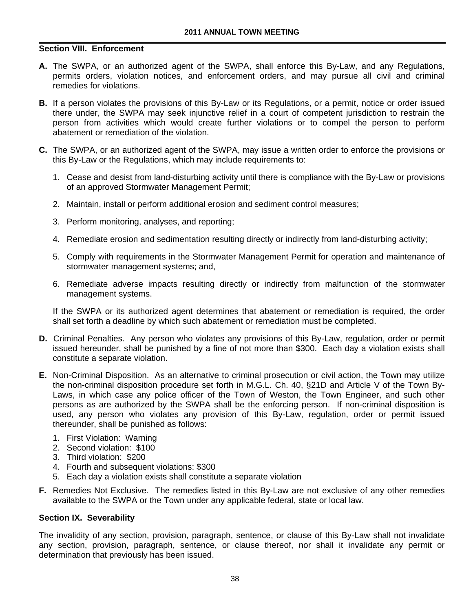## **Section VIII. Enforcement**

- **A.** The SWPA, or an authorized agent of the SWPA, shall enforce this By-Law, and any Regulations, permits orders, violation notices, and enforcement orders, and may pursue all civil and criminal remedies for violations.
- **B.** If a person violates the provisions of this By-Law or its Regulations, or a permit, notice or order issued there under, the SWPA may seek injunctive relief in a court of competent jurisdiction to restrain the person from activities which would create further violations or to compel the person to perform abatement or remediation of the violation.
- **C.** The SWPA, or an authorized agent of the SWPA, may issue a written order to enforce the provisions or this By-Law or the Regulations, which may include requirements to:
	- 1. Cease and desist from land-disturbing activity until there is compliance with the By-Law or provisions of an approved Stormwater Management Permit;
	- 2. Maintain, install or perform additional erosion and sediment control measures;
	- 3. Perform monitoring, analyses, and reporting;
	- 4. Remediate erosion and sedimentation resulting directly or indirectly from land-disturbing activity;
	- 5. Comply with requirements in the Stormwater Management Permit for operation and maintenance of stormwater management systems; and,
	- 6. Remediate adverse impacts resulting directly or indirectly from malfunction of the stormwater management systems.

If the SWPA or its authorized agent determines that abatement or remediation is required, the order shall set forth a deadline by which such abatement or remediation must be completed.

- **D.** Criminal Penalties. Any person who violates any provisions of this By-Law, regulation, order or permit issued hereunder, shall be punished by a fine of not more than \$300. Each day a violation exists shall constitute a separate violation.
- **E.** Non-Criminal Disposition. As an alternative to criminal prosecution or civil action, the Town may utilize the non-criminal disposition procedure set forth in M.G.L. Ch. 40, §21D and Article V of the Town By-Laws, in which case any police officer of the Town of Weston, the Town Engineer, and such other persons as are authorized by the SWPA shall be the enforcing person. If non-criminal disposition is used, any person who violates any provision of this By-Law, regulation, order or permit issued thereunder, shall be punished as follows:
	- 1. First Violation: Warning
	- 2. Second violation: \$100
	- 3. Third violation: \$200
	- 4. Fourth and subsequent violations: \$300
	- 5. Each day a violation exists shall constitute a separate violation
- **F.** Remedies Not Exclusive. The remedies listed in this By-Law are not exclusive of any other remedies available to the SWPA or the Town under any applicable federal, state or local law.

#### **Section IX. Severability**

The invalidity of any section, provision, paragraph, sentence, or clause of this By-Law shall not invalidate any section, provision, paragraph, sentence, or clause thereof, nor shall it invalidate any permit or determination that previously has been issued.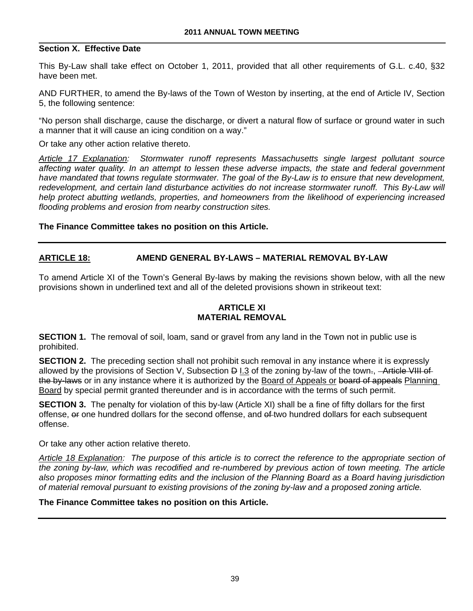## **Section X. Effective Date**

This By-Law shall take effect on October 1, 2011, provided that all other requirements of G.L. c.40, §32 have been met.

AND FURTHER, to amend the By-laws of the Town of Weston by inserting, at the end of Article IV, Section 5, the following sentence:

"No person shall discharge, cause the discharge, or divert a natural flow of surface or ground water in such a manner that it will cause an icing condition on a way."

Or take any other action relative thereto.

*Article 17 Explanation: Stormwater runoff represents Massachusetts single largest pollutant source affecting water quality. In an attempt to lessen these adverse impacts, the state and federal government have mandated that towns regulate stormwater. The goal of the By-Law is to ensure that new development,*  redevelopment, and certain land disturbance activities do not increase stormwater runoff. This By-Law will *help protect abutting wetlands, properties, and homeowners from the likelihood of experiencing increased flooding problems and erosion from nearby construction sites.* 

### **The Finance Committee takes no position on this Article.**

## **ARTICLE 18: AMEND GENERAL BY-LAWS – MATERIAL REMOVAL BY-LAW**

To amend Article XI of the Town's General By-laws by making the revisions shown below, with all the new provisions shown in underlined text and all of the deleted provisions shown in strikeout text:

## **ARTICLE XI MATERIAL REMOVAL**

**SECTION 1.** The removal of soil, loam, sand or gravel from any land in the Town not in public use is prohibited.

**SECTION 2.** The preceding section shall not prohibit such removal in any instance where it is expressly allowed by the provisions of Section V, Subsection D I.3 of the zoning by-law of the town-, - Article VIII of the by-laws or in any instance where it is authorized by the Board of Appeals or board of appeals Planning Board by special permit granted thereunder and is in accordance with the terms of such permit.

**SECTION 3.** The penalty for violation of this by-law (Article XI) shall be a fine of fifty dollars for the first offense, or one hundred dollars for the second offense, and of two hundred dollars for each subsequent offense.

Or take any other action relative thereto.

*Article 18 Explanation: The purpose of this article is to correct the reference to the appropriate section of the zoning by-law, which was recodified and re-numbered by previous action of town meeting. The article also proposes minor formatting edits and the inclusion of the Planning Board as a Board having jurisdiction of material removal pursuant to existing provisions of the zoning by-law and a proposed zoning article.* 

#### **The Finance Committee takes no position on this Article.**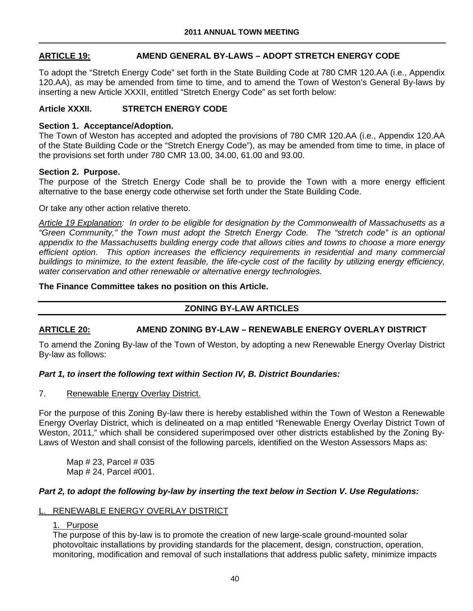## **ARTICLE 19: AMEND GENERAL BY-LAWS – ADOPT STRETCH ENERGY CODE**

To adopt the "Stretch Energy Code" set forth in the State Building Code at 780 CMR 120.AA (i.e., Appendix 120.AA), as may be amended from time to time, and to amend the Town of Weston's General By-laws by inserting a new Article XXXII, entitled "Stretch Energy Code" as set forth below:

## **Article XXXII. STRETCH ENERGY CODE**

#### **Section 1. Acceptance/Adoption.**

The Town of Weston has accepted and adopted the provisions of 780 CMR 120.AA (i.e., Appendix 120.AA of the State Building Code or the "Stretch Energy Code"), as may be amended from time to time, in place of the provisions set forth under 780 CMR 13.00, 34.00, 61.00 and 93.00.

#### **Section 2. Purpose.**

The purpose of the Stretch Energy Code shall be to provide the Town with a more energy efficient alternative to the base energy code otherwise set forth under the State Building Code.

Or take any other action relative thereto.

*Article 19 Explanation: In order to be eligible for designation by the Commonwealth of Massachusetts as a "Green Community," the Town must adopt the Stretch Energy Code. The "stretch code" is an optional appendix to the Massachusetts building energy code that allows cities and towns to choose a more energy efficient option. This option increases the efficiency requirements in residential and many commercial buildings to minimize, to the extent feasible, the life-cycle cost of the facility by utilizing energy efficiency, water conservation and other renewable or alternative energy technologies.* 

### **The Finance Committee takes no position on this Article.**

## **ZONING BY-LAW ARTICLES**

# **ARTICLE 20: AMEND ZONING BY-LAW – RENEWABLE ENERGY OVERLAY DISTRICT**

To amend the Zoning By-law of the Town of Weston, by adopting a new Renewable Energy Overlay District By-law as follows:

## *Part 1, to insert the following text within Section IV, B. District Boundaries:*

7. Renewable Energy Overlay District.

For the purpose of this Zoning By-law there is hereby established within the Town of Weston a Renewable Energy Overlay District, which is delineated on a map entitled "Renewable Energy Overlay District Town of Weston, 2011," which shall be considered superimposed over other districts established by the Zoning By-Laws of Weston and shall consist of the following parcels, identified on the Weston Assessors Maps as:

Map # 23, Parcel # 035 Map # 24, Parcel #001.

#### *Part 2, to adopt the following by-law by inserting the text below in Section V. Use Regulations:*

### RENEWABLE ENERGY OVERLAY DISTRICT

## 1. Purpose

The purpose of this by-law is to promote the creation of new large-scale ground-mounted solar photovoltaic installations by providing standards for the placement, design, construction, operation, monitoring, modification and removal of such installations that address public safety, minimize impacts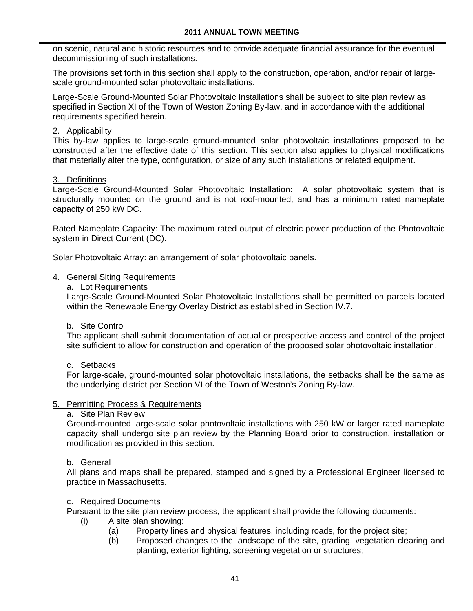on scenic, natural and historic resources and to provide adequate financial assurance for the eventual decommissioning of such installations.

The provisions set forth in this section shall apply to the construction, operation, and/or repair of largescale ground-mounted solar photovoltaic installations.

Large-Scale Ground-Mounted Solar Photovoltaic Installations shall be subject to site plan review as specified in Section XI of the Town of Weston Zoning By-law, and in accordance with the additional requirements specified herein.

## 2. Applicability

This by-law applies to large-scale ground-mounted solar photovoltaic installations proposed to be constructed after the effective date of this section. This section also applies to physical modifications that materially alter the type, configuration, or size of any such installations or related equipment.

### 3. Definitions

Large-Scale Ground-Mounted Solar Photovoltaic Installation: A solar photovoltaic system that is structurally mounted on the ground and is not roof-mounted, and has a minimum rated nameplate capacity of 250 kW DC.

Rated Nameplate Capacity: The maximum rated output of electric power production of the Photovoltaic system in Direct Current (DC).

Solar Photovoltaic Array: an arrangement of solar photovoltaic panels.

#### 4. General Siting Requirements

a. Lot Requirements

Large-Scale Ground-Mounted Solar Photovoltaic Installations shall be permitted on parcels located within the Renewable Energy Overlay District as established in Section IV.7.

#### b. Site Control

The applicant shall submit documentation of actual or prospective access and control of the project site sufficient to allow for construction and operation of the proposed solar photovoltaic installation.

c. Setbacks

For large-scale, ground-mounted solar photovoltaic installations, the setbacks shall be the same as the underlying district per Section VI of the Town of Weston's Zoning By-law.

#### 5. Permitting Process & Requirements

## a. Site Plan Review

Ground-mounted large-scale solar photovoltaic installations with 250 kW or larger rated nameplate capacity shall undergo site plan review by the Planning Board prior to construction, installation or modification as provided in this section.

## b. General

All plans and maps shall be prepared, stamped and signed by a Professional Engineer licensed to practice in Massachusetts.

### c. Required Documents

Pursuant to the site plan review process, the applicant shall provide the following documents:

- (i) A site plan showing:
	- (a) Property lines and physical features, including roads, for the project site;
	- (b) Proposed changes to the landscape of the site, grading, vegetation clearing and planting, exterior lighting, screening vegetation or structures;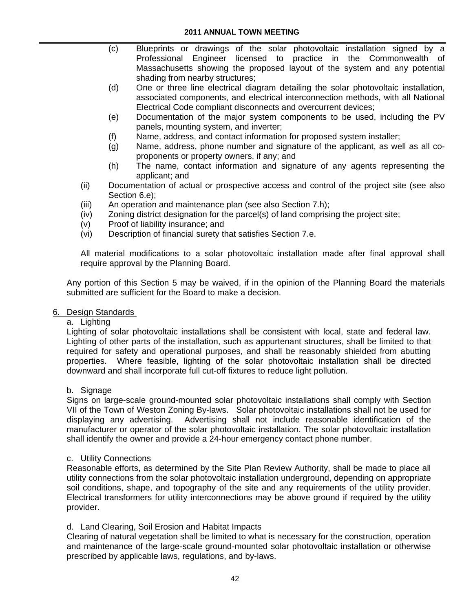- (c) Blueprints or drawings of the solar photovoltaic installation signed by a Professional Engineer licensed to practice in the Commonwealth of Massachusetts showing the proposed layout of the system and any potential shading from nearby structures;
- (d) One or three line electrical diagram detailing the solar photovoltaic installation, associated components, and electrical interconnection methods, with all National Electrical Code compliant disconnects and overcurrent devices;
- (e) Documentation of the major system components to be used, including the PV panels, mounting system, and inverter;
- (f) Name, address, and contact information for proposed system installer;
- (g) Name, address, phone number and signature of the applicant, as well as all coproponents or property owners, if any; and
- (h) The name, contact information and signature of any agents representing the applicant; and
- (ii) Documentation of actual or prospective access and control of the project site (see also Section 6.e);
- (iii) An operation and maintenance plan (see also Section 7.h);
- (iv) Zoning district designation for the parcel(s) of land comprising the project site;
- (v) Proof of liability insurance; and
- (vi) Description of financial surety that satisfies Section 7.e.

All material modifications to a solar photovoltaic installation made after final approval shall require approval by the Planning Board.

Any portion of this Section 5 may be waived, if in the opinion of the Planning Board the materials submitted are sufficient for the Board to make a decision.

#### 6. Design Standards

## a. Lighting

Lighting of solar photovoltaic installations shall be consistent with local, state and federal law. Lighting of other parts of the installation, such as appurtenant structures, shall be limited to that required for safety and operational purposes, and shall be reasonably shielded from abutting properties. Where feasible, lighting of the solar photovoltaic installation shall be directed downward and shall incorporate full cut-off fixtures to reduce light pollution.

#### b. Signage

Signs on large-scale ground-mounted solar photovoltaic installations shall comply with Section VII of the Town of Weston Zoning By-laws. Solar photovoltaic installations shall not be used for displaying any advertising. Advertising shall not include reasonable identification of the manufacturer or operator of the solar photovoltaic installation. The solar photovoltaic installation shall identify the owner and provide a 24-hour emergency contact phone number.

#### c. Utility Connections

Reasonable efforts, as determined by the Site Plan Review Authority, shall be made to place all utility connections from the solar photovoltaic installation underground, depending on appropriate soil conditions, shape, and topography of the site and any requirements of the utility provider. Electrical transformers for utility interconnections may be above ground if required by the utility provider.

#### d. Land Clearing, Soil Erosion and Habitat Impacts

Clearing of natural vegetation shall be limited to what is necessary for the construction, operation and maintenance of the large-scale ground-mounted solar photovoltaic installation or otherwise prescribed by applicable laws, regulations, and by-laws.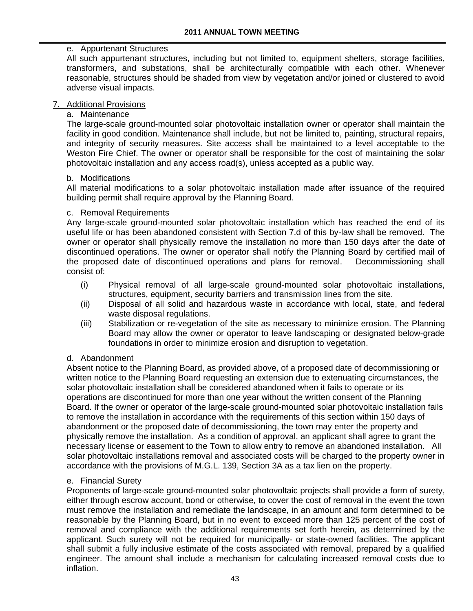# e. Appurtenant Structures

All such appurtenant structures, including but not limited to, equipment shelters, storage facilities, transformers, and substations, shall be architecturally compatible with each other. Whenever reasonable, structures should be shaded from view by vegetation and/or joined or clustered to avoid adverse visual impacts.

## 7. Additional Provisions

### a. Maintenance

The large-scale ground-mounted solar photovoltaic installation owner or operator shall maintain the facility in good condition. Maintenance shall include, but not be limited to, painting, structural repairs, and integrity of security measures. Site access shall be maintained to a level acceptable to the Weston Fire Chief. The owner or operator shall be responsible for the cost of maintaining the solar photovoltaic installation and any access road(s), unless accepted as a public way.

#### b. Modifications

All material modifications to a solar photovoltaic installation made after issuance of the required building permit shall require approval by the Planning Board.

### c. Removal Requirements

Any large-scale ground-mounted solar photovoltaic installation which has reached the end of its useful life or has been abandoned consistent with Section 7.d of this by-law shall be removed. The owner or operator shall physically remove the installation no more than 150 days after the date of discontinued operations. The owner or operator shall notify the Planning Board by certified mail of the proposed date of discontinued operations and plans for removal. Decommissioning shall consist of:

- (i) Physical removal of all large-scale ground-mounted solar photovoltaic installations, structures, equipment, security barriers and transmission lines from the site.
- (ii) Disposal of all solid and hazardous waste in accordance with local, state, and federal waste disposal regulations.
- (iii) Stabilization or re-vegetation of the site as necessary to minimize erosion. The Planning Board may allow the owner or operator to leave landscaping or designated below-grade foundations in order to minimize erosion and disruption to vegetation.

#### d. Abandonment

Absent notice to the Planning Board, as provided above, of a proposed date of decommissioning or written notice to the Planning Board requesting an extension due to extenuating circumstances, the solar photovoltaic installation shall be considered abandoned when it fails to operate or its operations are discontinued for more than one year without the written consent of the Planning Board. If the owner or operator of the large-scale ground-mounted solar photovoltaic installation fails to remove the installation in accordance with the requirements of this section within 150 days of abandonment or the proposed date of decommissioning, the town may enter the property and physically remove the installation. As a condition of approval, an applicant shall agree to grant the necessary license or easement to the Town to allow entry to remove an abandoned installation. All solar photovoltaic installations removal and associated costs will be charged to the property owner in accordance with the provisions of M.G.L. 139, Section 3A as a tax lien on the property.

#### e. Financial Surety

Proponents of large-scale ground-mounted solar photovoltaic projects shall provide a form of surety, either through escrow account, bond or otherwise, to cover the cost of removal in the event the town must remove the installation and remediate the landscape, in an amount and form determined to be reasonable by the Planning Board, but in no event to exceed more than 125 percent of the cost of removal and compliance with the additional requirements set forth herein, as determined by the applicant. Such surety will not be required for municipally- or state-owned facilities. The applicant shall submit a fully inclusive estimate of the costs associated with removal, prepared by a qualified engineer. The amount shall include a mechanism for calculating increased removal costs due to inflation.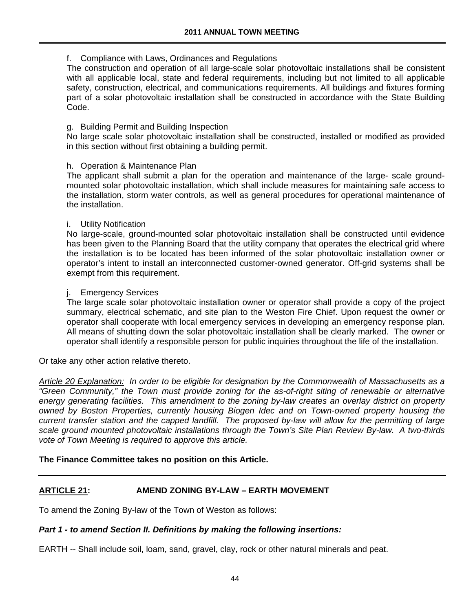## f. Compliance with Laws, Ordinances and Regulations

The construction and operation of all large-scale solar photovoltaic installations shall be consistent with all applicable local, state and federal requirements, including but not limited to all applicable safety, construction, electrical, and communications requirements. All buildings and fixtures forming part of a solar photovoltaic installation shall be constructed in accordance with the State Building Code.

### g. Building Permit and Building Inspection

No large scale solar photovoltaic installation shall be constructed, installed or modified as provided in this section without first obtaining a building permit.

#### h. Operation & Maintenance Plan

The applicant shall submit a plan for the operation and maintenance of the large- scale groundmounted solar photovoltaic installation, which shall include measures for maintaining safe access to the installation, storm water controls, as well as general procedures for operational maintenance of the installation.

### i. Utility Notification

No large-scale, ground-mounted solar photovoltaic installation shall be constructed until evidence has been given to the Planning Board that the utility company that operates the electrical grid where the installation is to be located has been informed of the solar photovoltaic installation owner or operator's intent to install an interconnected customer-owned generator. Off-grid systems shall be exempt from this requirement.

### j. Emergency Services

The large scale solar photovoltaic installation owner or operator shall provide a copy of the project summary, electrical schematic, and site plan to the Weston Fire Chief. Upon request the owner or operator shall cooperate with local emergency services in developing an emergency response plan. All means of shutting down the solar photovoltaic installation shall be clearly marked. The owner or operator shall identify a responsible person for public inquiries throughout the life of the installation.

Or take any other action relative thereto.

*Article 20 Explanation: In order to be eligible for designation by the Commonwealth of Massachusetts as a "Green Community," the Town must provide zoning for the as-of-right siting of renewable or alternative energy generating facilities. This amendment to the zoning by-law creates an overlay district on property owned by Boston Properties, currently housing Biogen Idec and on Town-owned property housing the current transfer station and the capped landfill. The proposed by-law will allow for the permitting of large scale ground mounted photovoltaic installations through the Town's Site Plan Review By-law. A two-thirds vote of Town Meeting is required to approve this article.* 

#### **The Finance Committee takes no position on this Article.**

## **ARTICLE 21: AMEND ZONING BY-LAW – EARTH MOVEMENT**

To amend the Zoning By-law of the Town of Weston as follows:

## *Part 1 - to amend Section II. Definitions by making the following insertions:*

EARTH -- Shall include soil, loam, sand, gravel, clay, rock or other natural minerals and peat.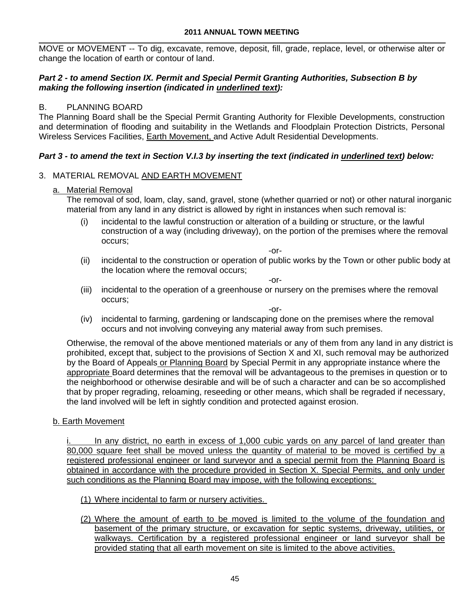MOVE or MOVEMENT -- To dig, excavate, remove, deposit, fill, grade, replace, level, or otherwise alter or change the location of earth or contour of land.

## *Part 2 - to amend Section IX. Permit and Special Permit Granting Authorities, Subsection B by making the following insertion (indicated in underlined text):*

# B. PLANNING BOARD

The Planning Board shall be the Special Permit Granting Authority for Flexible Developments, construction and determination of flooding and suitability in the Wetlands and Floodplain Protection Districts, Personal Wireless Services Facilities, Earth Movement, and Active Adult Residential Developments.

## *Part 3 - to amend the text in Section V.I.3 by inserting the text (indicated in underlined text) below:*

# 3. MATERIAL REMOVAL AND EARTH MOVEMENT

## a. Material Removal

The removal of sod, loam, clay, sand, gravel, stone (whether quarried or not) or other natural inorganic material from any land in any district is allowed by right in instances when such removal is:

(i) incidental to the lawful construction or alteration of a building or structure, or the lawful construction of a way (including driveway), on the portion of the premises where the removal occurs;

-or*-* 

(ii) incidental to the construction or operation of public works by the Town or other public body at the location where the removal occurs;

-or-

(iii) incidental to the operation of a greenhouse or nursery on the premises where the removal occurs;

-or-

(iv) incidental to farming, gardening or landscaping done on the premises where the removal occurs and not involving conveying any material away from such premises.

Otherwise, the removal of the above mentioned materials or any of them from any land in any district is prohibited, except that, subject to the provisions of Section X and XI, such removal may be authorized by the Board of Appeals or Planning Board by Special Permit in any appropriate instance where the appropriate Board determines that the removal will be advantageous to the premises in question or to the neighborhood or otherwise desirable and will be of such a character and can be so accomplished that by proper regrading, reloaming, reseeding or other means, which shall be regraded if necessary, the land involved will be left in sightly condition and protected against erosion.

b. Earth Movement

In any district, no earth in excess of 1,000 cubic yards on any parcel of land greater than 80,000 square feet shall be moved unless the quantity of material to be moved is certified by a registered professional engineer or land surveyor and a special permit from the Planning Board is obtained in accordance with the procedure provided in Section X. Special Permits, and only under such conditions as the Planning Board may impose, with the following exceptions:

- (1) Where incidental to farm or nursery activities.
- (2) Where the amount of earth to be moved is limited to the volume of the foundation and basement of the primary structure, or excavation for septic systems, driveway, utilities, or walkways. Certification by a registered professional engineer or land surveyor shall be provided stating that all earth movement on site is limited to the above activities.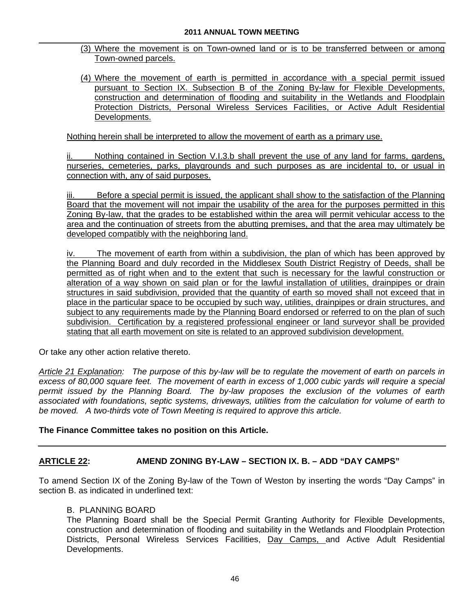- (3) Where the movement is on Town-owned land or is to be transferred between or among Town-owned parcels.
- (4) Where the movement of earth is permitted in accordance with a special permit issued pursuant to Section IX. Subsection B of the Zoning By-law for Flexible Developments, construction and determination of flooding and suitability in the Wetlands and Floodplain Protection Districts, Personal Wireless Services Facilities, or Active Adult Residential Developments.

Nothing herein shall be interpreted to allow the movement of earth as a primary use.

ii. Nothing contained in Section V.I.3.b shall prevent the use of any land for farms, gardens, nurseries, cemeteries, parks, playgrounds and such purposes as are incidental to, or usual in connection with, any of said purposes.

Before a special permit is issued, the applicant shall show to the satisfaction of the Planning Board that the movement will not impair the usability of the area for the purposes permitted in this Zoning By-law, that the grades to be established within the area will permit vehicular access to the area and the continuation of streets from the abutting premises, and that the area may ultimately be developed compatibly with the neighboring land.

iv. The movement of earth from within a subdivision, the plan of which has been approved by the Planning Board and duly recorded in the Middlesex South District Registry of Deeds, shall be permitted as of right when and to the extent that such is necessary for the lawful construction or alteration of a way shown on said plan or for the lawful installation of utilities, drainpipes or drain structures in said subdivision, provided that the quantity of earth so moved shall not exceed that in place in the particular space to be occupied by such way, utilities, drainpipes or drain structures, and subject to any requirements made by the Planning Board endorsed or referred to on the plan of such subdivision. Certification by a registered professional engineer or land surveyor shall be provided stating that all earth movement on site is related to an approved subdivision development.

Or take any other action relative thereto.

*Article 21 Explanation: The purpose of this by-law will be to regulate the movement of earth on parcels in excess of 80,000 square feet. The movement of earth in excess of 1,000 cubic yards will require a special permit issued by the Planning Board. The by-law proposes the exclusion of the volumes of earth associated with foundations, septic systems, driveways, utilities from the calculation for volume of earth to be moved. A two-thirds vote of Town Meeting is required to approve this article.* 

## **The Finance Committee takes no position on this Article.**

## **ARTICLE 22: AMEND ZONING BY-LAW – SECTION IX. B. – ADD "DAY CAMPS"**

To amend Section IX of the Zoning By-law of the Town of Weston by inserting the words "Day Camps" in section B. as indicated in underlined text:

### B. PLANNING BOARD

 The Planning Board shall be the Special Permit Granting Authority for Flexible Developments, construction and determination of flooding and suitability in the Wetlands and Floodplain Protection Districts, Personal Wireless Services Facilities, Day Camps, and Active Adult Residential Developments.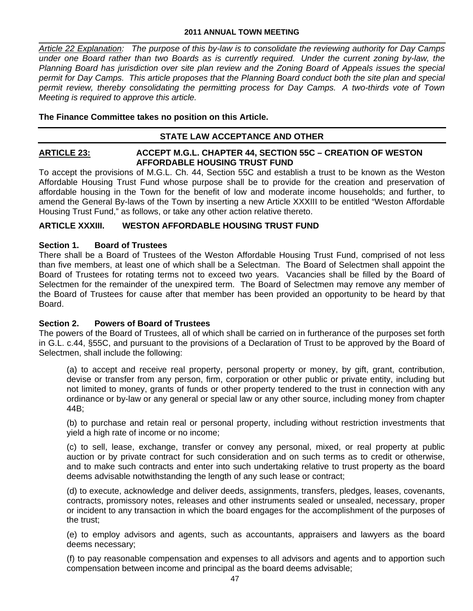#### **2011 ANNUAL TOWN MEETING**

*Article 22 Explanation: The purpose of this by-law is to consolidate the reviewing authority for Day Camps under one Board rather than two Boards as is currently required. Under the current zoning by-law, the Planning Board has jurisdiction over site plan review and the Zoning Board of Appeals issues the special permit for Day Camps. This article proposes that the Planning Board conduct both the site plan and special permit review, thereby consolidating the permitting process for Day Camps. A two-thirds vote of Town Meeting is required to approve this article.* 

## **The Finance Committee takes no position on this Article.**

#### **STATE LAW ACCEPTANCE AND OTHER**

#### **ARTICLE 23: ACCEPT M.G.L. CHAPTER 44, SECTION 55C – CREATION OF WESTON AFFORDABLE HOUSING TRUST FUND**

To accept the provisions of M.G.L. Ch. 44, Section 55C and establish a trust to be known as the Weston Affordable Housing Trust Fund whose purpose shall be to provide for the creation and preservation of affordable housing in the Town for the benefit of low and moderate income households; and further, to amend the General By-laws of the Town by inserting a new Article XXXIII to be entitled "Weston Affordable Housing Trust Fund," as follows, or take any other action relative thereto.

#### **ARTICLE XXXIII. WESTON AFFORDABLE HOUSING TRUST FUND**

#### **Section 1. Board of Trustees**

There shall be a Board of Trustees of the Weston Affordable Housing Trust Fund, comprised of not less than five members, at least one of which shall be a Selectman. The Board of Selectmen shall appoint the Board of Trustees for rotating terms not to exceed two years. Vacancies shall be filled by the Board of Selectmen for the remainder of the unexpired term. The Board of Selectmen may remove any member of the Board of Trustees for cause after that member has been provided an opportunity to be heard by that Board.

#### **Section 2. Powers of Board of Trustees**

The powers of the Board of Trustees, all of which shall be carried on in furtherance of the purposes set forth in G.L. c.44, §55C, and pursuant to the provisions of a Declaration of Trust to be approved by the Board of Selectmen, shall include the following:

(a) to accept and receive real property, personal property or money, by gift, grant, contribution, devise or transfer from any person, firm, corporation or other public or private entity, including but not limited to money, grants of funds or other property tendered to the trust in connection with any ordinance or by-law or any general or special law or any other source, including money from chapter 44B;

(b) to purchase and retain real or personal property, including without restriction investments that yield a high rate of income or no income;

(c) to sell, lease, exchange, transfer or convey any personal, mixed, or real property at public auction or by private contract for such consideration and on such terms as to credit or otherwise, and to make such contracts and enter into such undertaking relative to trust property as the board deems advisable notwithstanding the length of any such lease or contract;

(d) to execute, acknowledge and deliver deeds, assignments, transfers, pledges, leases, covenants, contracts, promissory notes, releases and other instruments sealed or unsealed, necessary, proper or incident to any transaction in which the board engages for the accomplishment of the purposes of the trust;

(e) to employ advisors and agents, such as accountants, appraisers and lawyers as the board deems necessary;

(f) to pay reasonable compensation and expenses to all advisors and agents and to apportion such compensation between income and principal as the board deems advisable;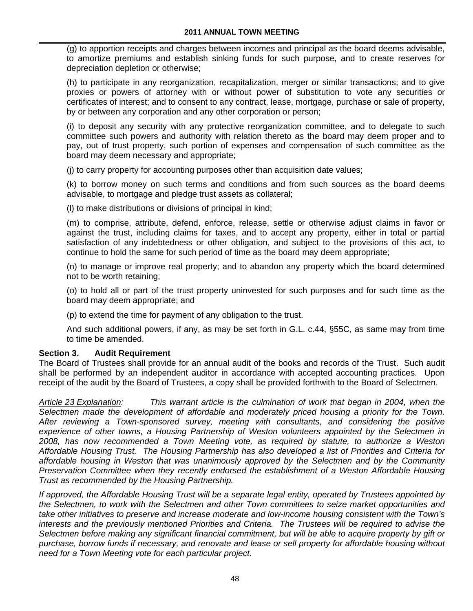(g) to apportion receipts and charges between incomes and principal as the board deems advisable, to amortize premiums and establish sinking funds for such purpose, and to create reserves for depreciation depletion or otherwise;

(h) to participate in any reorganization, recapitalization, merger or similar transactions; and to give proxies or powers of attorney with or without power of substitution to vote any securities or certificates of interest; and to consent to any contract, lease, mortgage, purchase or sale of property, by or between any corporation and any other corporation or person;

(i) to deposit any security with any protective reorganization committee, and to delegate to such committee such powers and authority with relation thereto as the board may deem proper and to pay, out of trust property, such portion of expenses and compensation of such committee as the board may deem necessary and appropriate;

(j) to carry property for accounting purposes other than acquisition date values;

(k) to borrow money on such terms and conditions and from such sources as the board deems advisable, to mortgage and pledge trust assets as collateral;

(l) to make distributions or divisions of principal in kind;

(m) to comprise, attribute, defend, enforce, release, settle or otherwise adjust claims in favor or against the trust, including claims for taxes, and to accept any property, either in total or partial satisfaction of any indebtedness or other obligation, and subject to the provisions of this act, to continue to hold the same for such period of time as the board may deem appropriate;

(n) to manage or improve real property; and to abandon any property which the board determined not to be worth retaining;

(o) to hold all or part of the trust property uninvested for such purposes and for such time as the board may deem appropriate; and

(p) to extend the time for payment of any obligation to the trust.

And such additional powers, if any, as may be set forth in G.L. c.44, §55C, as same may from time to time be amended.

#### **Section 3. Audit Requirement**

The Board of Trustees shall provide for an annual audit of the books and records of the Trust. Such audit shall be performed by an independent auditor in accordance with accepted accounting practices. Upon receipt of the audit by the Board of Trustees, a copy shall be provided forthwith to the Board of Selectmen.

*Article 23 Explanation: This warrant article is the culmination of work that began in 2004, when the Selectmen made the development of affordable and moderately priced housing a priority for the Town. After reviewing a Town-sponsored survey, meeting with consultants, and considering the positive experience of other towns, a Housing Partnership of Weston volunteers appointed by the Selectmen in 2008, has now recommended a Town Meeting vote, as required by statute, to authorize a Weston Affordable Housing Trust. The Housing Partnership has also developed a list of Priorities and Criteria for affordable housing in Weston that was unanimously approved by the Selectmen and by the Community Preservation Committee when they recently endorsed the establishment of a Weston Affordable Housing Trust as recommended by the Housing Partnership.* 

*If approved, the Affordable Housing Trust will be a separate legal entity, operated by Trustees appointed by the Selectmen, to work with the Selectmen and other Town committees to seize market opportunities and take other initiatives to preserve and increase moderate and low-income housing consistent with the Town's interests and the previously mentioned Priorities and Criteria. The Trustees will be required to advise the Selectmen before making any significant financial commitment, but will be able to acquire property by gift or purchase, borrow funds if necessary, and renovate and lease or sell property for affordable housing without need for a Town Meeting vote for each particular project.*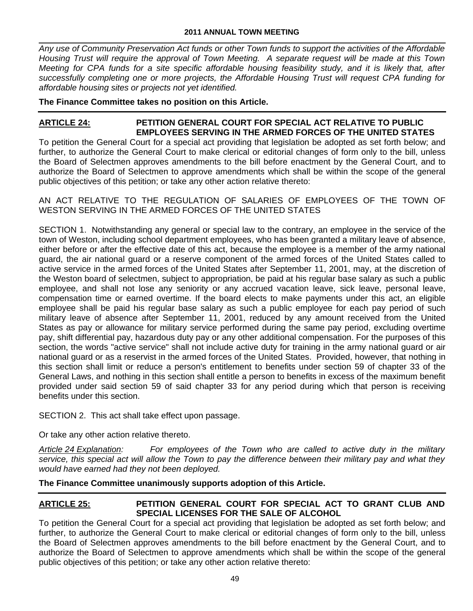*Any use of Community Preservation Act funds or other Town funds to support the activities of the Affordable Housing Trust will require the approval of Town Meeting. A separate request will be made at this Town Meeting for CPA funds for a site specific affordable housing feasibility study, and it is likely that, after successfully completing one or more projects, the Affordable Housing Trust will request CPA funding for affordable housing sites or projects not yet identified.* 

## **The Finance Committee takes no position on this Article.**

## **ARTICLE 24: PETITION GENERAL COURT FOR SPECIAL ACT RELATIVE TO PUBLIC EMPLOYEES SERVING IN THE ARMED FORCES OF THE UNITED STATES**

To petition the General Court for a special act providing that legislation be adopted as set forth below; and further, to authorize the General Court to make clerical or editorial changes of form only to the bill, unless the Board of Selectmen approves amendments to the bill before enactment by the General Court, and to authorize the Board of Selectmen to approve amendments which shall be within the scope of the general public objectives of this petition; or take any other action relative thereto:

AN ACT RELATIVE TO THE REGULATION OF SALARIES OF EMPLOYEES OF THE TOWN OF WESTON SERVING IN THE ARMED FORCES OF THE UNITED STATES

SECTION 1. Notwithstanding any general or special law to the contrary, an employee in the service of the town of Weston, including school department employees, who has been granted a military leave of absence, either before or after the effective date of this act, because the employee is a member of the army national guard, the air national guard or a reserve component of the armed forces of the United States called to active service in the armed forces of the United States after September 11, 2001, may, at the discretion of the Weston board of selectmen, subject to appropriation, be paid at his regular base salary as such a public employee, and shall not lose any seniority or any accrued vacation leave, sick leave, personal leave, compensation time or earned overtime. If the board elects to make payments under this act, an eligible employee shall be paid his regular base salary as such a public employee for each pay period of such military leave of absence after September 11, 2001, reduced by any amount received from the United States as pay or allowance for military service performed during the same pay period, excluding overtime pay, shift differential pay, hazardous duty pay or any other additional compensation. For the purposes of this section, the words "active service" shall not include active duty for training in the army national guard or air national guard or as a reservist in the armed forces of the United States. Provided, however, that nothing in this section shall limit or reduce a person's entitlement to benefits under section 59 of chapter 33 of the General Laws, and nothing in this section shall entitle a person to benefits in excess of the maximum benefit provided under said section 59 of said chapter 33 for any period during which that person is receiving benefits under this section.

SECTION 2. This act shall take effect upon passage.

Or take any other action relative thereto.

*Article 24 Explanation: For employees of the Town who are called to active duty in the military service, this special act will allow the Town to pay the difference between their military pay and what they would have earned had they not been deployed.* 

**The Finance Committee unanimously supports adoption of this Article.** 

## **ARTICLE 25: PETITION GENERAL COURT FOR SPECIAL ACT TO GRANT CLUB AND SPECIAL LICENSES FOR THE SALE OF ALCOHOL**

To petition the General Court for a special act providing that legislation be adopted as set forth below; and further, to authorize the General Court to make clerical or editorial changes of form only to the bill, unless the Board of Selectmen approves amendments to the bill before enactment by the General Court, and to authorize the Board of Selectmen to approve amendments which shall be within the scope of the general public objectives of this petition; or take any other action relative thereto: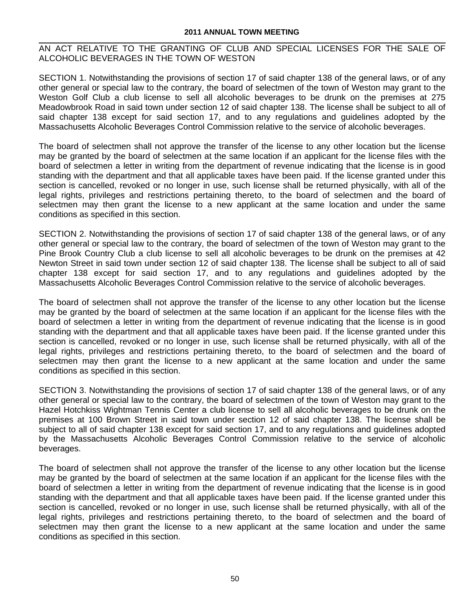AN ACT RELATIVE TO THE GRANTING OF CLUB AND SPECIAL LICENSES FOR THE SALE OF ALCOHOLIC BEVERAGES IN THE TOWN OF WESTON

SECTION 1. Notwithstanding the provisions of section 17 of said chapter 138 of the general laws, or of any other general or special law to the contrary, the board of selectmen of the town of Weston may grant to the Weston Golf Club a club license to sell all alcoholic beverages to be drunk on the premises at 275 Meadowbrook Road in said town under section 12 of said chapter 138. The license shall be subject to all of said chapter 138 except for said section 17, and to any regulations and guidelines adopted by the Massachusetts Alcoholic Beverages Control Commission relative to the service of alcoholic beverages.

The board of selectmen shall not approve the transfer of the license to any other location but the license may be granted by the board of selectmen at the same location if an applicant for the license files with the board of selectmen a letter in writing from the department of revenue indicating that the license is in good standing with the department and that all applicable taxes have been paid. If the license granted under this section is cancelled, revoked or no longer in use, such license shall be returned physically, with all of the legal rights, privileges and restrictions pertaining thereto, to the board of selectmen and the board of selectmen may then grant the license to a new applicant at the same location and under the same conditions as specified in this section.

SECTION 2. Notwithstanding the provisions of section 17 of said chapter 138 of the general laws, or of any other general or special law to the contrary, the board of selectmen of the town of Weston may grant to the Pine Brook Country Club a club license to sell all alcoholic beverages to be drunk on the premises at 42 Newton Street in said town under section 12 of said chapter 138. The license shall be subject to all of said chapter 138 except for said section 17, and to any regulations and guidelines adopted by the Massachusetts Alcoholic Beverages Control Commission relative to the service of alcoholic beverages.

The board of selectmen shall not approve the transfer of the license to any other location but the license may be granted by the board of selectmen at the same location if an applicant for the license files with the board of selectmen a letter in writing from the department of revenue indicating that the license is in good standing with the department and that all applicable taxes have been paid. If the license granted under this section is cancelled, revoked or no longer in use, such license shall be returned physically, with all of the legal rights, privileges and restrictions pertaining thereto, to the board of selectmen and the board of selectmen may then grant the license to a new applicant at the same location and under the same conditions as specified in this section.

SECTION 3. Notwithstanding the provisions of section 17 of said chapter 138 of the general laws, or of any other general or special law to the contrary, the board of selectmen of the town of Weston may grant to the Hazel Hotchkiss Wightman Tennis Center a club license to sell all alcoholic beverages to be drunk on the premises at 100 Brown Street in said town under section 12 of said chapter 138. The license shall be subject to all of said chapter 138 except for said section 17, and to any regulations and guidelines adopted by the Massachusetts Alcoholic Beverages Control Commission relative to the service of alcoholic beverages.

The board of selectmen shall not approve the transfer of the license to any other location but the license may be granted by the board of selectmen at the same location if an applicant for the license files with the board of selectmen a letter in writing from the department of revenue indicating that the license is in good standing with the department and that all applicable taxes have been paid. If the license granted under this section is cancelled, revoked or no longer in use, such license shall be returned physically, with all of the legal rights, privileges and restrictions pertaining thereto, to the board of selectmen and the board of selectmen may then grant the license to a new applicant at the same location and under the same conditions as specified in this section.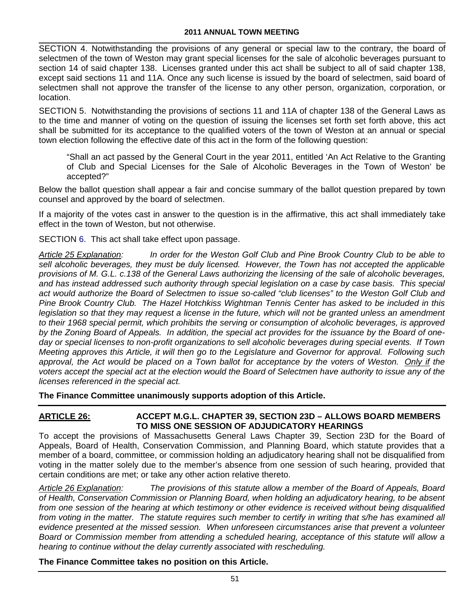SECTION 4. Notwithstanding the provisions of any general or special law to the contrary, the board of selectmen of the town of Weston may grant special licenses for the sale of alcoholic beverages pursuant to section 14 of said chapter 138. Licenses granted under this act shall be subject to all of said chapter 138, except said sections 11 and 11A. Once any such license is issued by the board of selectmen, said board of selectmen shall not approve the transfer of the license to any other person, organization, corporation, or location.

SECTION 5. Notwithstanding the provisions of sections 11 and 11A of chapter 138 of the General Laws as to the time and manner of voting on the question of issuing the licenses set forth set forth above, this act shall be submitted for its acceptance to the qualified voters of the town of Weston at an annual or special town election following the effective date of this act in the form of the following question:

"Shall an act passed by the General Court in the year 2011, entitled 'An Act Relative to the Granting of Club and Special Licenses for the Sale of Alcoholic Beverages in the Town of Weston' be accepted?"

Below the ballot question shall appear a fair and concise summary of the ballot question prepared by town counsel and approved by the board of selectmen.

If a majority of the votes cast in answer to the question is in the affirmative, this act shall immediately take effect in the town of Weston, but not otherwise.

SECTION 6. This act shall take effect upon passage.

*Article 25 Explanation: In order for the Weston Golf Club and Pine Brook Country Club to be able to*  sell alcoholic beverages, they must be duly licensed. However, the Town has not accepted the applicable *provisions of M. G.L. c.138 of the General Laws authorizing the licensing of the sale of alcoholic beverages, and has instead addressed such authority through special legislation on a case by case basis. This special act would authorize the Board of Selectmen to issue so-called "club licenses" to the Weston Golf Club and Pine Brook Country Club. The Hazel Hotchkiss Wightman Tennis Center has asked to be included in this legislation so that they may request a license in the future, which will not be granted unless an amendment to their 1968 special permit, which prohibits the serving or consumption of alcoholic beverages, is approved by the Zoning Board of Appeals. In addition, the special act provides for the issuance by the Board of oneday or special licenses to non-profit organizations to sell alcoholic beverages during special events. If Town Meeting approves this Article, it will then go to the Legislature and Governor for approval. Following such*  approval, the Act would be placed on a Town ballot for acceptance by the voters of Weston. Only if the *voters accept the special act at the election would the Board of Selectmen have authority to issue any of the licenses referenced in the special act.* 

**The Finance Committee unanimously supports adoption of this Article.** 

## **ARTICLE 26: ACCEPT M.G.L. CHAPTER 39, SECTION 23D – ALLOWS BOARD MEMBERS TO MISS ONE SESSION OF ADJUDICATORY HEARINGS**

To accept the provisions of Massachusetts General Laws Chapter 39, Section 23D for the Board of Appeals, Board of Health, Conservation Commission, and Planning Board, which statute provides that a member of a board, committee, or commission holding an adjudicatory hearing shall not be disqualified from voting in the matter solely due to the member's absence from one session of such hearing, provided that certain conditions are met; or take any other action relative thereto.

*Article 26 Explanation: The provisions of this statute allow a member of the Board of Appeals, Board of Health, Conservation Commission or Planning Board, when holding an adjudicatory hearing, to be absent from one session of the hearing at which testimony or other evidence is received without being disqualified from voting in the matter. The statute requires such member to certify in writing that s/he has examined all evidence presented at the missed session. When unforeseen circumstances arise that prevent a volunteer Board or Commission member from attending a scheduled hearing, acceptance of this statute will allow a hearing to continue without the delay currently associated with rescheduling.* 

## **The Finance Committee takes no position on this Article.**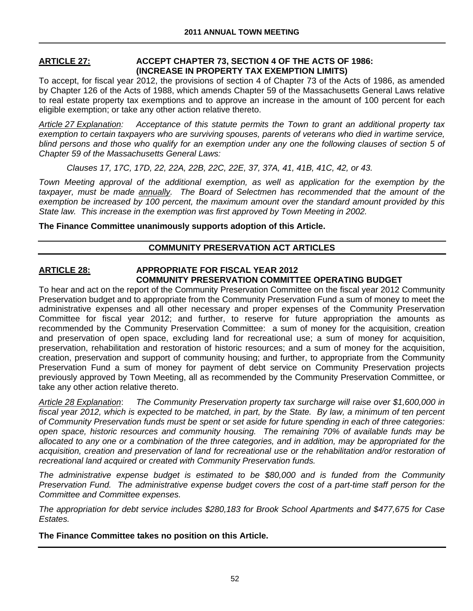### **ARTICLE 27: ACCEPT CHAPTER 73, SECTION 4 OF THE ACTS OF 1986: (INCREASE IN PROPERTY TAX EXEMPTION LIMITS)**

To accept, for fiscal year 2012, the provisions of section 4 of Chapter 73 of the Acts of 1986, as amended by Chapter 126 of the Acts of 1988, which amends Chapter 59 of the Massachusetts General Laws relative to real estate property tax exemptions and to approve an increase in the amount of 100 percent for each eligible exemption; or take any other action relative thereto.

*Article 27 Explanation: Acceptance of this statute permits the Town to grant an additional property tax exemption to certain taxpayers who are surviving spouses, parents of veterans who died in wartime service,*  blind persons and those who qualify for an exemption under any one the following clauses of section 5 of *Chapter 59 of the Massachusetts General Laws:* 

 *Clauses 17, 17C, 17D, 22, 22A, 22B, 22C, 22E, 37, 37A, 41, 41B, 41C, 42, or 43.* 

*Town Meeting approval of the additional exemption, as well as application for the exemption by the taxpayer, must be made annually. The Board of Selectmen has recommended that the amount of the exemption be increased by 100 percent, the maximum amount over the standard amount provided by this State law. This increase in the exemption was first approved by Town Meeting in 2002.* 

**The Finance Committee unanimously supports adoption of this Article.** 

## **COMMUNITY PRESERVATION ACT ARTICLES**

## **ARTICLE 28: APPROPRIATE FOR FISCAL YEAR 2012 COMMUNITY PRESERVATION COMMITTEE OPERATING BUDGET**

To hear and act on the report of the Community Preservation Committee on the fiscal year 2012 Community Preservation budget and to appropriate from the Community Preservation Fund a sum of money to meet the administrative expenses and all other necessary and proper expenses of the Community Preservation Committee for fiscal year 2012; and further, to reserve for future appropriation the amounts as recommended by the Community Preservation Committee: a sum of money for the acquisition, creation and preservation of open space, excluding land for recreational use; a sum of money for acquisition, preservation, rehabilitation and restoration of historic resources; and a sum of money for the acquisition, creation, preservation and support of community housing; and further, to appropriate from the Community Preservation Fund a sum of money for payment of debt service on Community Preservation projects previously approved by Town Meeting, all as recommended by the Community Preservation Committee, or take any other action relative thereto.

*Article 28 Explanation*: *The Community Preservation property tax surcharge will raise over \$1,600,000 in fiscal year 2012, which is expected to be matched, in part, by the State. By law, a minimum of ten percent of Community Preservation funds must be spent or set aside for future spending in each of three categories: open space, historic resources and community housing. The remaining 70% of available funds may be allocated to any one or a combination of the three categories, and in addition, may be appropriated for the*  acquisition, creation and preservation of land for recreational use or the rehabilitation and/or restoration of *recreational land acquired or created with Community Preservation funds.*

*The administrative expense budget is estimated to be \$80,000 and is funded from the Community Preservation Fund. The administrative expense budget covers the cost of a part-time staff person for the Committee and Committee expenses.* 

*The appropriation for debt service includes \$280,183 for Brook School Apartments and \$477,675 for Case Estates.* 

**The Finance Committee takes no position on this Article.**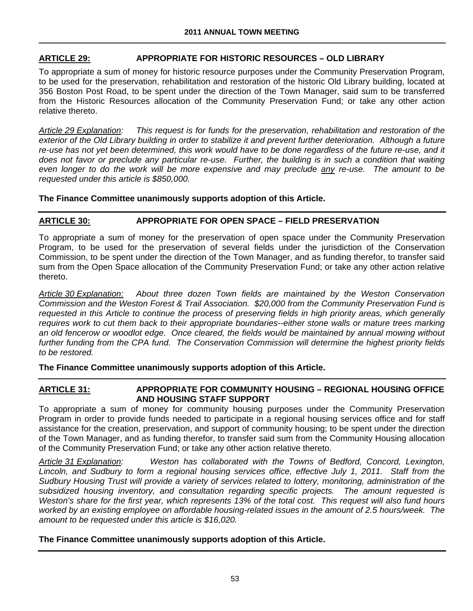## **ARTICLE 29: APPROPRIATE FOR HISTORIC RESOURCES – OLD LIBRARY**

To appropriate a sum of money for historic resource purposes under the Community Preservation Program, to be used for the preservation, rehabilitation and restoration of the historic Old Library building, located at 356 Boston Post Road, to be spent under the direction of the Town Manager, said sum to be transferred from the Historic Resources allocation of the Community Preservation Fund; or take any other action relative thereto.

*Article 29 Explanation: This request is for funds for the preservation, rehabilitation and restoration of the*  exterior of the Old Library building in order to stabilize it and prevent further deterioration. Although a future *re-use has not yet been determined, this work would have to be done regardless of the future re-use, and it does not favor or preclude any particular re-use. Further, the building is in such a condition that waiting even longer to do the work will be more expensive and may preclude any re-use. The amount to be requested under this article is \$850,000.* 

**The Finance Committee unanimously supports adoption of this Article.** 

# **ARTICLE 30: APPROPRIATE FOR OPEN SPACE – FIELD PRESERVATION**

To appropriate a sum of money for the preservation of open space under the Community Preservation Program, to be used for the preservation of several fields under the jurisdiction of the Conservation Commission, to be spent under the direction of the Town Manager, and as funding therefor, to transfer said sum from the Open Space allocation of the Community Preservation Fund; or take any other action relative thereto.

*Article 30 Explanation: About three dozen Town fields are maintained by the Weston Conservation Commission and the Weston Forest & Trail Association. \$20,000 from the Community Preservation Fund is requested in this Article to continue the process of preserving fields in high priority areas, which generally requires work to cut them back to their appropriate boundaries--either stone walls or mature trees marking an old fencerow or woodlot edge. Once cleared, the fields would be maintained by annual mowing without further funding from the CPA fund. The Conservation Commission will determine the highest priority fields to be restored.* 

**The Finance Committee unanimously supports adoption of this Article.** 

### **ARTICLE 31: APPROPRIATE FOR COMMUNITY HOUSING – REGIONAL HOUSING OFFICE AND HOUSING STAFF SUPPORT**

To appropriate a sum of money for community housing purposes under the Community Preservation Program in order to provide funds needed to participate in a regional housing services office and for staff assistance for the creation, preservation, and support of community housing; to be spent under the direction of the Town Manager, and as funding therefor, to transfer said sum from the Community Housing allocation of the Community Preservation Fund; or take any other action relative thereto.

*Article 31 Explanation: Weston has collaborated with the Towns of Bedford, Concord, Lexington, Lincoln, and Sudbury to form a regional housing services office, effective July 1, 2011. Staff from the Sudbury Housing Trust will provide a variety of services related to lottery, monitoring, administration of the subsidized housing inventory, and consultation regarding specific projects. The amount requested is Weston's share for the first year, which represents 13% of the total cost. This request will also fund hours worked by an existing employee on affordable housing-related issues in the amount of 2.5 hours/week. The amount to be requested under this article is \$16,020.* 

## **The Finance Committee unanimously supports adoption of this Article.**